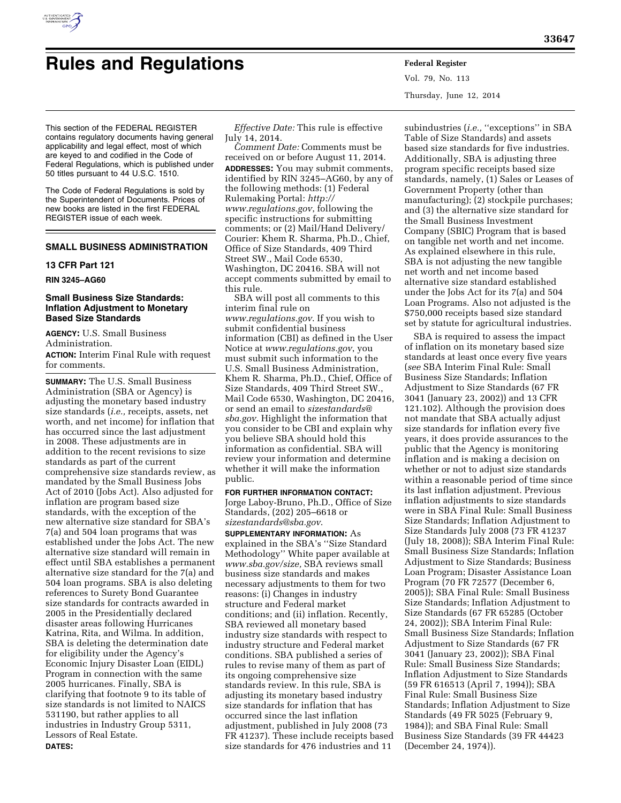

# **Rules and Regulations Federal Register**

Vol. 79, No. 113 Thursday, June 12, 2014

This section of the FEDERAL REGISTER contains regulatory documents having general applicability and legal effect, most of which are keyed to and codified in the Code of Federal Regulations, which is published under 50 titles pursuant to 44 U.S.C. 1510.

The Code of Federal Regulations is sold by the Superintendent of Documents. Prices of new books are listed in the first FEDERAL REGISTER issue of each week.

# **SMALL BUSINESS ADMINISTRATION**

#### **13 CFR Part 121**

### **RIN 3245–AG60**

### **Small Business Size Standards: Inflation Adjustment to Monetary Based Size Standards**

**AGENCY:** U.S. Small Business Administration.

**ACTION:** Interim Final Rule with request for comments.

**SUMMARY:** The U.S. Small Business Administration (SBA or Agency) is adjusting the monetary based industry size standards (*i.e.,* receipts, assets, net worth, and net income) for inflation that has occurred since the last adjustment in 2008. These adjustments are in addition to the recent revisions to size standards as part of the current comprehensive size standards review, as mandated by the Small Business Jobs Act of 2010 (Jobs Act). Also adjusted for inflation are program based size standards, with the exception of the new alternative size standard for SBA's 7(a) and 504 loan programs that was established under the Jobs Act. The new alternative size standard will remain in effect until SBA establishes a permanent alternative size standard for the 7(a) and 504 loan programs. SBA is also deleting references to Surety Bond Guarantee size standards for contracts awarded in 2005 in the Presidentially declared disaster areas following Hurricanes Katrina, Rita, and Wilma. In addition, SBA is deleting the determination date for eligibility under the Agency's Economic Injury Disaster Loan (EIDL) Program in connection with the same 2005 hurricanes. Finally, SBA is clarifying that footnote 9 to its table of size standards is not limited to NAICS 531190, but rather applies to all industries in Industry Group 5311, Lessors of Real Estate. **DATES:**

*Effective Date:* This rule is effective July 14, 2014.

*Comment Date:* Comments must be received on or before August 11, 2014. **ADDRESSES:** You may submit comments, identified by RIN 3245–AG60, by any of the following methods: (1) Federal Rulemaking Portal: *[http://](http://www.regulations.gov) [www.regulations.gov](http://www.regulations.gov)*, following the specific instructions for submitting comments; or (2) Mail/Hand Delivery/ Courier: Khem R. Sharma, Ph.D., Chief, Office of Size Standards, 409 Third Street SW., Mail Code 6530, Washington, DC 20416. SBA will not accept comments submitted by email to this rule.

SBA will post all comments to this interim final rule on *[www.regulations.gov](http://www.regulations.gov)*. If you wish to submit confidential business information (CBI) as defined in the User Notice at *[www.regulations.gov](http://www.regulations.gov)*, you must submit such information to the U.S. Small Business Administration, Khem R. Sharma, Ph.D., Chief, Office of Size Standards, 409 Third Street SW., Mail Code 6530, Washington, DC 20416, or send an email to *[sizestandards@](mailto:sizestandards@sba.gov) [sba.gov](mailto:sizestandards@sba.gov)*. Highlight the information that you consider to be CBI and explain why you believe SBA should hold this information as confidential. SBA will review your information and determine whether it will make the information public.

**FOR FURTHER INFORMATION CONTACT:**  Jorge Laboy-Bruno, Ph.D., Office of Size Standards, (202) 205–6618 or *[sizestandards@sba.gov](mailto:sizestandards@sba.gov)*.

**SUPPLEMENTARY INFORMATION:** As explained in the SBA's ''Size Standard Methodology'' White paper available at *[www.sba.gov/size,](http://www.sba.gov/size)* SBA reviews small business size standards and makes necessary adjustments to them for two reasons: (i) Changes in industry structure and Federal market conditions; and (ii) inflation. Recently, SBA reviewed all monetary based industry size standards with respect to industry structure and Federal market conditions. SBA published a series of rules to revise many of them as part of its ongoing comprehensive size standards review. In this rule, SBA is adjusting its monetary based industry size standards for inflation that has occurred since the last inflation adjustment, published in July 2008 (73 FR 41237). These include receipts based size standards for 476 industries and 11

subindustries (*i.e.,* "exceptions" in SBA Table of Size Standards) and assets based size standards for five industries. Additionally, SBA is adjusting three program specific receipts based size standards, namely, (1) Sales or Leases of Government Property (other than manufacturing); (2) stockpile purchases; and (3) the alternative size standard for the Small Business Investment Company (SBIC) Program that is based on tangible net worth and net income. As explained elsewhere in this rule, SBA is not adjusting the new tangible net worth and net income based alternative size standard established under the Jobs Act for its 7(a) and 504 Loan Programs. Also not adjusted is the \$750,000 receipts based size standard set by statute for agricultural industries.

SBA is required to assess the impact of inflation on its monetary based size standards at least once every five years (*see* SBA Interim Final Rule: Small Business Size Standards; Inflation Adjustment to Size Standards (67 FR 3041 (January 23, 2002)) and 13 CFR 121.102). Although the provision does not mandate that SBA actually adjust size standards for inflation every five years, it does provide assurances to the public that the Agency is monitoring inflation and is making a decision on whether or not to adjust size standards within a reasonable period of time since its last inflation adjustment. Previous inflation adjustments to size standards were in SBA Final Rule: Small Business Size Standards; Inflation Adjustment to Size Standards July 2008 (73 FR 41237 (July 18, 2008)); SBA Interim Final Rule: Small Business Size Standards; Inflation Adjustment to Size Standards; Business Loan Program; Disaster Assistance Loan Program (70 FR 72577 (December 6, 2005)); SBA Final Rule: Small Business Size Standards; Inflation Adjustment to Size Standards (67 FR 65285 (October 24, 2002)); SBA Interim Final Rule: Small Business Size Standards; Inflation Adjustment to Size Standards (67 FR 3041 (January 23, 2002)); SBA Final Rule: Small Business Size Standards; Inflation Adjustment to Size Standards (59 FR 616513 (April 7, 1994)); SBA Final Rule: Small Business Size Standards; Inflation Adjustment to Size Standards (49 FR 5025 (February 9, 1984)); and SBA Final Rule: Small Business Size Standards (39 FR 44423 (December 24, 1974)).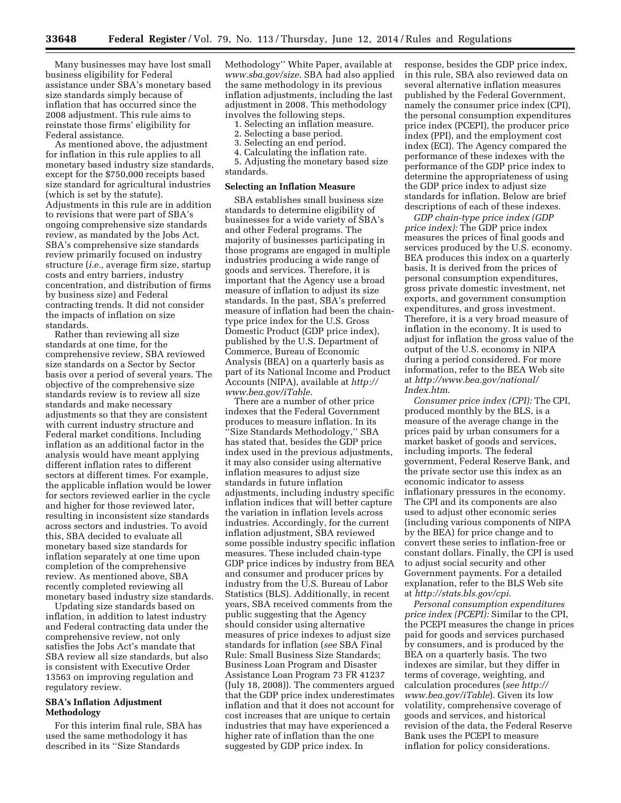Many businesses may have lost small business eligibility for Federal assistance under SBA's monetary based size standards simply because of inflation that has occurred since the 2008 adjustment. This rule aims to reinstate those firms' eligibility for Federal assistance.

As mentioned above, the adjustment for inflation in this rule applies to all monetary based industry size standards, except for the \$750,000 receipts based size standard for agricultural industries (which is set by the statute). Adjustments in this rule are in addition to revisions that were part of SBA's ongoing comprehensive size standards review, as mandated by the Jobs Act. SBA's comprehensive size standards review primarily focused on industry structure (*i.e.,* average firm size, startup costs and entry barriers, industry concentration, and distribution of firms by business size) and Federal contracting trends. It did not consider the impacts of inflation on size standards.

Rather than reviewing all size standards at one time, for the comprehensive review, SBA reviewed size standards on a Sector by Sector basis over a period of several years. The objective of the comprehensive size standards review is to review all size standards and make necessary adjustments so that they are consistent with current industry structure and Federal market conditions. Including inflation as an additional factor in the analysis would have meant applying different inflation rates to different sectors at different times. For example, the applicable inflation would be lower for sectors reviewed earlier in the cycle and higher for those reviewed later, resulting in inconsistent size standards across sectors and industries. To avoid this, SBA decided to evaluate all monetary based size standards for inflation separately at one time upon completion of the comprehensive review. As mentioned above, SBA recently completed reviewing all monetary based industry size standards.

Updating size standards based on inflation, in addition to latest industry and Federal contracting data under the comprehensive review, not only satisfies the Jobs Act's mandate that SBA review all size standards, but also is consistent with Executive Order 13563 on improving regulation and regulatory review.

### **SBA's Inflation Adjustment Methodology**

For this interim final rule, SBA has used the same methodology it has described in its ''Size Standards

Methodology'' White Paper, available at *[www.sba.gov/size](http://www.sba.gov/size)*. SBA had also applied the same methodology in its previous inflation adjustments, including the last adjustment in 2008. This methodology involves the following steps.

1. Selecting an inflation measure.

- 2. Selecting a base period.
- 3. Selecting an end period.

4. Calculating the inflation rate. 5. Adjusting the monetary based size standards.

### **Selecting an Inflation Measure**

SBA establishes small business size standards to determine eligibility of businesses for a wide variety of SBA's and other Federal programs. The majority of businesses participating in those programs are engaged in multiple industries producing a wide range of goods and services. Therefore, it is important that the Agency use a broad measure of inflation to adjust its size standards. In the past, SBA's preferred measure of inflation had been the chaintype price index for the U.S. Gross Domestic Product (GDP price index), published by the U.S. Department of Commerce, Bureau of Economic Analysis (BEA) on a quarterly basis as part of its National Income and Product Accounts (NIPA), available at *[http://](http://www.bea.gov/iTable) [www.bea.gov/iTable](http://www.bea.gov/iTable)*.

There are a number of other price indexes that the Federal Government produces to measure inflation. In its ''Size Standards Methodology,'' SBA has stated that, besides the GDP price index used in the previous adjustments, it may also consider using alternative inflation measures to adjust size standards in future inflation adjustments, including industry specific inflation indices that will better capture the variation in inflation levels across industries. Accordingly, for the current inflation adjustment, SBA reviewed some possible industry specific inflation measures. These included chain-type GDP price indices by industry from BEA and consumer and producer prices by industry from the U.S. Bureau of Labor Statistics (BLS). Additionally, in recent years, SBA received comments from the public suggesting that the Agency should consider using alternative measures of price indexes to adjust size standards for inflation (*see* SBA Final Rule: Small Business Size Standards; Business Loan Program and Disaster Assistance Loan Program 73 FR 41237 (July 18, 2008)). The commenters argued that the GDP price index underestimates inflation and that it does not account for cost increases that are unique to certain industries that may have experienced a higher rate of inflation than the one suggested by GDP price index. In

response, besides the GDP price index, in this rule, SBA also reviewed data on several alternative inflation measures published by the Federal Government, namely the consumer price index (CPI), the personal consumption expenditures price index (PCEPI), the producer price index (PPI), and the employment cost index (ECI). The Agency compared the performance of these indexes with the performance of the GDP price index to determine the appropriateness of using the GDP price index to adjust size standards for inflation. Below are brief descriptions of each of these indexes.

*GDP chain-type price index (GDP price index):* The GDP price index measures the prices of final goods and services produced by the U.S. economy. BEA produces this index on a quarterly basis. It is derived from the prices of personal consumption expenditures, gross private domestic investment, net exports, and government consumption expenditures, and gross investment. Therefore, it is a very broad measure of inflation in the economy. It is used to adjust for inflation the gross value of the output of the U.S. economy in NIPA during a period considered. For more information, refer to the BEA Web site at *[http://www.bea.gov/national/](http://www.bea.gov/national/Index.htm) [Index.htm](http://www.bea.gov/national/Index.htm)*.

*Consumer price index (CPI):* The CPI, produced monthly by the BLS, is a measure of the average change in the prices paid by urban consumers for a market basket of goods and services, including imports. The federal government, Federal Reserve Bank, and the private sector use this index as an economic indicator to assess inflationary pressures in the economy. The CPI and its components are also used to adjust other economic series (including various components of NIPA by the BEA) for price change and to convert these series to inflation-free or constant dollars. Finally, the CPI is used to adjust social security and other Government payments. For a detailed explanation, refer to the BLS Web site at *<http://stats.bls.gov/cpi>*.

*Personal consumption expenditures price index (PCEPI):* Similar to the CPI, the PCEPI measures the change in prices paid for goods and services purchased by consumers, and is produced by the BEA on a quarterly basis. The two indexes are similar, but they differ in terms of coverage, weighting, and calculation procedures (*see [http://](http://www.bea.gov/iTable) [www.bea.gov/iTable](http://www.bea.gov/iTable)*). Given its low volatility, comprehensive coverage of goods and services, and historical revision of the data, the Federal Reserve Bank uses the PCEPI to measure inflation for policy considerations.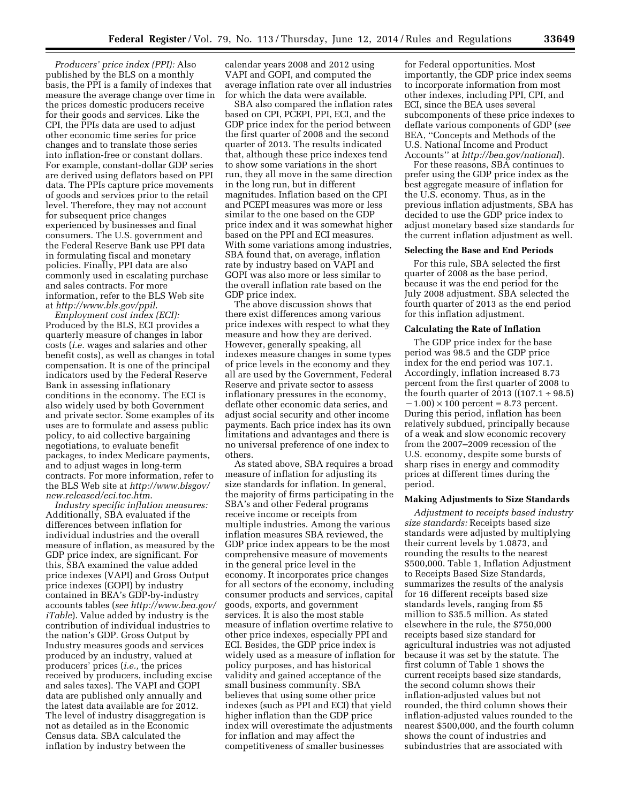*Producers' price index (PPI):* Also published by the BLS on a monthly basis, the PPI is a family of indexes that measure the average change over time in the prices domestic producers receive for their goods and services. Like the CPI, the PPIs data are used to adjust other economic time series for price changes and to translate those series into inflation-free or constant dollars. For example, constant-dollar GDP series are derived using deflators based on PPI data. The PPIs capture price movements of goods and services prior to the retail level. Therefore, they may not account for subsequent price changes experienced by businesses and final consumers. The U.S. government and the Federal Reserve Bank use PPI data in formulating fiscal and monetary policies. Finally, PPI data are also commonly used in escalating purchase and sales contracts. For more information, refer to the BLS Web site at *<http://www.bls.gov/ppil>*.

*Employment cost index (ECI):*  Produced by the BLS, ECI provides a quarterly measure of changes in labor costs (*i.e.* wages and salaries and other benefit costs), as well as changes in total compensation. It is one of the principal indicators used by the Federal Reserve Bank in assessing inflationary conditions in the economy. The ECI is also widely used by both Government and private sector. Some examples of its uses are to formulate and assess public policy, to aid collective bargaining negotiations, to evaluate benefit packages, to index Medicare payments, and to adjust wages in long-term contracts. For more information, refer to the BLS Web site at *[http://www.blsgov/](http://www.blsgov/new.released/eci.toc.htm)  [new.released/eci.toc.htm](http://www.blsgov/new.released/eci.toc.htm)*.

*Industry specific inflation measures:*  Additionally, SBA evaluated if the differences between inflation for individual industries and the overall measure of inflation, as measured by the GDP price index, are significant. For this, SBA examined the value added price indexes (VAPI) and Gross Output price indexes (GOPI) by industry contained in BEA's GDP-by-industry accounts tables (*see [http://www.bea.gov/](http://www.bea.gov/iTable) [iTable](http://www.bea.gov/iTable)*). Value added by industry is the contribution of individual industries to the nation's GDP. Gross Output by Industry measures goods and services produced by an industry, valued at producers' prices (*i.e.,* the prices received by producers, including excise and sales taxes). The VAPI and GOPI data are published only annually and the latest data available are for 2012. The level of industry disaggregation is not as detailed as in the Economic Census data. SBA calculated the inflation by industry between the

calendar years 2008 and 2012 using VAPI and GOPI, and computed the average inflation rate over all industries for which the data were available.

SBA also compared the inflation rates based on CPI, PCEPI, PPI, ECI, and the GDP price index for the period between the first quarter of 2008 and the second quarter of 2013. The results indicated that, although these price indexes tend to show some variations in the short run, they all move in the same direction in the long run, but in different magnitudes. Inflation based on the CPI and PCEPI measures was more or less similar to the one based on the GDP price index and it was somewhat higher based on the PPI and ECI measures. With some variations among industries, SBA found that, on average, inflation rate by industry based on VAPI and GOPI was also more or less similar to the overall inflation rate based on the GDP price index.

The above discussion shows that there exist differences among various price indexes with respect to what they measure and how they are derived. However, generally speaking, all indexes measure changes in some types of price levels in the economy and they all are used by the Government, Federal Reserve and private sector to assess inflationary pressures in the economy, deflate other economic data series, and adjust social security and other income payments. Each price index has its own limitations and advantages and there is no universal preference of one index to others.

As stated above, SBA requires a broad measure of inflation for adjusting its size standards for inflation. In general, the majority of firms participating in the SBA's and other Federal programs receive income or receipts from multiple industries. Among the various inflation measures SBA reviewed, the GDP price index appears to be the most comprehensive measure of movements in the general price level in the economy. It incorporates price changes for all sectors of the economy, including consumer products and services, capital goods, exports, and government services. It is also the most stable measure of inflation overtime relative to other price indexes, especially PPI and ECI. Besides, the GDP price index is widely used as a measure of inflation for policy purposes, and has historical validity and gained acceptance of the small business community. SBA believes that using some other price indexes (such as PPI and ECI) that yield higher inflation than the GDP price index will overestimate the adjustments for inflation and may affect the competitiveness of smaller businesses

for Federal opportunities. Most importantly, the GDP price index seems to incorporate information from most other indexes, including PPI, CPI, and ECI, since the BEA uses several subcomponents of these price indexes to deflate various components of GDP (*see*  BEA, ''Concepts and Methods of the U.S. National Income and Product Accounts'' at *<http://bea.gov/national>*).

For these reasons, SBA continues to prefer using the GDP price index as the best aggregate measure of inflation for the U.S. economy. Thus, as in the previous inflation adjustments, SBA has decided to use the GDP price index to adjust monetary based size standards for the current inflation adjustment as well.

### **Selecting the Base and End Periods**

For this rule, SBA selected the first quarter of 2008 as the base period, because it was the end period for the July 2008 adjustment. SBA selected the fourth quarter of 2013 as the end period for this inflation adjustment.

### **Calculating the Rate of Inflation**

The GDP price index for the base period was 98.5 and the GDP price index for the end period was 107.1. Accordingly, inflation increased 8.73 percent from the first quarter of 2008 to the fourth quarter of 2013 ((107.1  $\div$  98.5)  $-1.00 \times 100$  percent = 8.73 percent. During this period, inflation has been relatively subdued, principally because of a weak and slow economic recovery from the 2007–2009 recession of the U.S. economy, despite some bursts of sharp rises in energy and commodity prices at different times during the period.

#### **Making Adjustments to Size Standards**

*Adjustment to receipts based industry size standards:* Receipts based size standards were adjusted by multiplying their current levels by 1.0873, and rounding the results to the nearest \$500,000. Table 1, Inflation Adjustment to Receipts Based Size Standards, summarizes the results of the analysis for 16 different receipts based size standards levels, ranging from \$5 million to \$35.5 million. As stated elsewhere in the rule, the \$750,000 receipts based size standard for agricultural industries was not adjusted because it was set by the statute. The first column of Table 1 shows the current receipts based size standards, the second column shows their inflation-adjusted values but not rounded, the third column shows their inflation-adjusted values rounded to the nearest \$500,000, and the fourth column shows the count of industries and subindustries that are associated with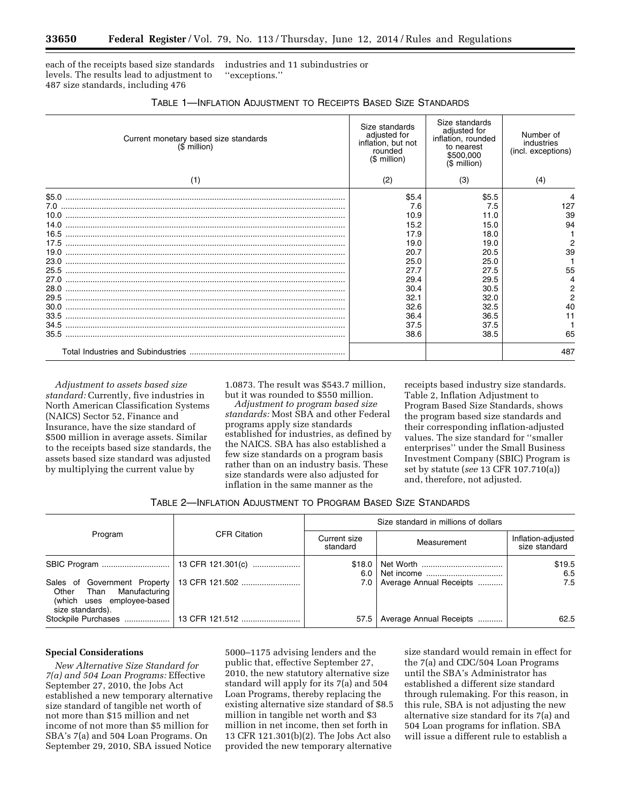each of the receipts based size standards levels. The results lead to adjustment to 487 size standards, including 476

industries and 11 subindustries or ''exceptions.''

|      | Current monetary based size standards<br>(\$ million) | Size standards<br>adjusted for<br>inflation, but not<br>rounded<br>(\$ million) | Size standards<br>adjusted for<br>inflation, rounded<br>to nearest<br>\$500,000<br>$($$ million) | Number of<br>industries<br>(incl. exceptions) |
|------|-------------------------------------------------------|---------------------------------------------------------------------------------|--------------------------------------------------------------------------------------------------|-----------------------------------------------|
|      | (1)                                                   | (2)                                                                             | (3)                                                                                              | (4)                                           |
|      |                                                       | \$5.4<br>7.6                                                                    | \$5.5<br>7.5                                                                                     | 4<br>127                                      |
|      |                                                       | 10.9<br>15.2                                                                    | 11.0<br>15.0                                                                                     | 39<br>94                                      |
|      |                                                       | 17.9                                                                            | 18.0                                                                                             |                                               |
|      |                                                       | 19.0                                                                            | 19.0                                                                                             | $\overline{2}$                                |
|      |                                                       | 20.7<br>25.0                                                                    | 20.5<br>25.0                                                                                     | 39                                            |
|      |                                                       | 27.7                                                                            | 27.5                                                                                             | 55                                            |
| 27.0 |                                                       | 29.4                                                                            | 29.5                                                                                             | 4                                             |
|      |                                                       | 30.4                                                                            | 30.5                                                                                             | 2                                             |
|      |                                                       | 32.1                                                                            | 32.0                                                                                             | $\overline{c}$                                |
|      |                                                       | 32.6                                                                            | 32.5                                                                                             | 40                                            |
|      |                                                       | 36.4                                                                            | 36.5                                                                                             | 11                                            |
|      |                                                       | 37.5                                                                            | 37.5                                                                                             |                                               |
|      |                                                       | 38.6                                                                            | 38.5                                                                                             | 65                                            |
|      |                                                       |                                                                                 |                                                                                                  | 487                                           |

## TABLE 1—INFLATION ADJUSTMENT TO RECEIPTS BASED SIZE STANDARDS

*Adjustment to assets based size standard:* Currently, five industries in North American Classification Systems (NAICS) Sector 52, Finance and Insurance, have the size standard of \$500 million in average assets. Similar to the receipts based size standards, the assets based size standard was adjusted by multiplying the current value by

1.0873. The result was \$543.7 million, but it was rounded to \$550 million.

*Adjustment to program based size standards:* Most SBA and other Federal programs apply size standards established for industries, as defined by the NAICS. SBA has also established a few size standards on a program basis rather than on an industry basis. These size standards were also adjusted for inflation in the same manner as the

receipts based industry size standards. Table 2, Inflation Adjustment to Program Based Size Standards, shows the program based size standards and their corresponding inflation-adjusted values. The size standard for ''smaller enterprises'' under the Small Business Investment Company (SBIC) Program is set by statute (*see* 13 CFR 107.710(a)) and, therefore, not adjusted.

TABLE 2—INFLATION ADJUSTMENT TO PROGRAM BASED SIZE STANDARDS

|                                                        | <b>CFR Citation</b> | Size standard in millions of dollars |                         |                                     |  |
|--------------------------------------------------------|---------------------|--------------------------------------|-------------------------|-------------------------------------|--|
| Program                                                |                     | Current size<br>standard             | Measurement             | Inflation-adjusted<br>size standard |  |
| Other Than Manufacturing<br>(which uses employee-based | 13 CFR 121.301(c)   | \$18.0<br>6.0<br>7.0                 | Average Annual Receipts | \$19.5<br>6.5<br>7.5                |  |
| size standards).<br>Stockpile Purchases                | 13 CFR 121.512      | 57.5                                 | Average Annual Receipts | 62.5                                |  |

### **Special Considerations**

*New Alternative Size Standard for 7(a) and 504 Loan Programs:* Effective September 27, 2010, the Jobs Act established a new temporary alternative size standard of tangible net worth of not more than \$15 million and net income of not more than \$5 million for SBA's 7(a) and 504 Loan Programs. On September 29, 2010, SBA issued Notice

5000–1175 advising lenders and the public that, effective September 27, 2010, the new statutory alternative size standard will apply for its 7(a) and 504 Loan Programs, thereby replacing the existing alternative size standard of \$8.5 million in tangible net worth and \$3 million in net income, then set forth in 13 CFR 121.301(b)(2). The Jobs Act also provided the new temporary alternative

size standard would remain in effect for the 7(a) and CDC/504 Loan Programs until the SBA's Administrator has established a different size standard through rulemaking. For this reason, in this rule, SBA is not adjusting the new alternative size standard for its 7(a) and 504 Loan programs for inflation. SBA will issue a different rule to establish a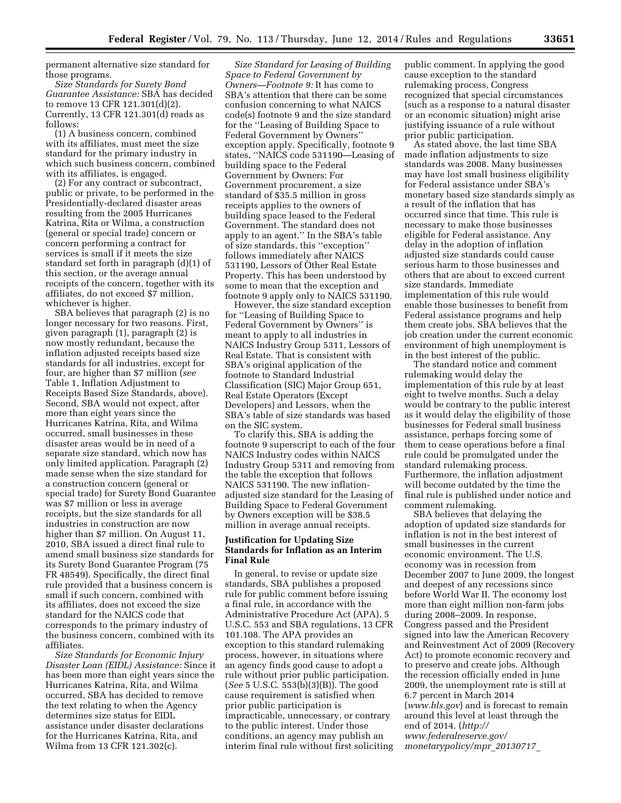permanent alternative size standard for those programs.

*Size Standards for Surety Bond Guarantee Assistance:* SBA has decided to remove 13 CFR 121.301(d)(2). Currently, 13 CFR 121.301(d) reads as follows:

(1) A business concern, combined with its affiliates, must meet the size standard for the primary industry in which such business concern, combined with its affiliates, is engaged.

(2) For any contract or subcontract, public or private, to be performed in the Presidentially-declared disaster areas resulting from the 2005 Hurricanes Katrina, Rita or Wilma, a construction (general or special trade) concern or concern performing a contract for services is small if it meets the size standard set forth in paragraph (d)(1) of this section, or the average annual receipts of the concern, together with its affiliates, do not exceed \$7 million, whichever is higher.

SBA believes that paragraph (2) is no longer necessary for two reasons. First, given paragraph (1), paragraph (2) is now mostly redundant, because the inflation adjusted receipts based size standards for all industries, except for four, are higher than \$7 million (*see*  Table 1, Inflation Adjustment to Receipts Based Size Standards, above). Second, SBA would not expect, after more than eight years since the Hurricanes Katrina, Rita, and Wilma occurred, small businesses in these disaster areas would be in need of a separate size standard, which now has only limited application. Paragraph (2) made sense when the size standard for a construction concern (general or special trade) for Surety Bond Guarantee was \$7 million or less in average receipts, but the size standards for all industries in construction are now higher than \$7 million. On August 11, 2010, SBA issued a direct final rule to amend small business size standards for its Surety Bond Guarantee Program (75 FR 48549). Specifically, the direct final rule provided that a business concern is small if such concern, combined with its affiliates, does not exceed the size standard for the NAICS code that corresponds to the primary industry of the business concern, combined with its affiliates.

*Size Standards for Economic Injury Disaster Loan (EIDL) Assistance:* Since it has been more than eight years since the Hurricanes Katrina, Rita, and Wilma occurred, SBA has decided to remove the text relating to when the Agency determines size status for EIDL assistance under disaster declarations for the Hurricanes Katrina, Rita, and Wilma from 13 CFR 121.302(c).

*Size Standard for Leasing of Building Space to Federal Government by Owners—Footnote 9:* It has come to SBA's attention that there can be some confusion concerning to what NAICS code(s) footnote 9 and the size standard for the ''Leasing of Building Space to Federal Government by Owners'' exception apply. Specifically, footnote 9 states, ''NAICS code 531190—Leasing of building space to the Federal Government by Owners: For Government procurement, a size standard of \$35.5 million in gross receipts applies to the owners of building space leased to the Federal Government. The standard does not apply to an agent.'' In the SBA's table of size standards, this ''exception'' follows immediately after NAICS 531190, Lessors of Other Real Estate Property. This has been understood by some to mean that the exception and footnote 9 apply only to NAICS 531190.

However, the size standard exception for ''Leasing of Building Space to Federal Government by Owners'' is meant to apply to all industries in NAICS Industry Group 5311, Lessors of Real Estate. That is consistent with SBA's original application of the footnote to Standard Industrial Classification (SIC) Major Group 651, Real Estate Operators (Except Developers) and Lessors, when the SBA's table of size standards was based on the SIC system.

To clarify this, SBA is adding the footnote 9 superscript to each of the four NAICS Industry codes within NAICS Industry Group 5311 and removing from the table the exception that follows NAICS 531190. The new inflationadjusted size standard for the Leasing of Building Space to Federal Government by Owners exception will be \$38.5 million in average annual receipts.

## **Justification for Updating Size Standards for Inflation as an Interim Final Rule**

In general, to revise or update size standards, SBA publishes a proposed rule for public comment before issuing a final rule, in accordance with the Administrative Procedure Act (APA), 5 U.S.C. 553 and SBA regulations, 13 CFR 101.108. The APA provides an exception to this standard rulemaking process, however, in situations where an agency finds good cause to adopt a rule without prior public participation. (*See* 5 U.S.C. 553(b)(3)(B)). The good cause requirement is satisfied when prior public participation is impracticable, unnecessary, or contrary to the public interest. Under those conditions, an agency may publish an interim final rule without first soliciting

public comment. In applying the good cause exception to the standard rulemaking process, Congress recognized that special circumstances (such as a response to a natural disaster or an economic situation) might arise justifying issuance of a rule without prior public participation.

As stated above, the last time SBA made inflation adjustments to size standards was 2008. Many businesses may have lost small business eligibility for Federal assistance under SBA's monetary based size standards simply as a result of the inflation that has occurred since that time. This rule is necessary to make those businesses eligible for Federal assistance. Any delay in the adoption of inflation adjusted size standards could cause serious harm to those businesses and others that are about to exceed current size standards. Immediate implementation of this rule would enable those businesses to benefit from Federal assistance programs and help them create jobs. SBA believes that the job creation under the current economic environment of high unemployment is in the best interest of the public.

The standard notice and comment rulemaking would delay the implementation of this rule by at least eight to twelve months. Such a delay would be contrary to the public interest as it would delay the eligibility of those businesses for Federal small business assistance, perhaps forcing some of them to cease operations before a final rule could be promulgated under the standard rulemaking process. Furthermore, the inflation adjustment will become outdated by the time the final rule is published under notice and comment rulemaking.

SBA believes that delaying the adoption of updated size standards for inflation is not in the best interest of small businesses in the current economic environment. The U.S. economy was in recession from December 2007 to June 2009, the longest and deepest of any recessions since before World War II. The economy lost more than eight million non-farm jobs during 2008–2009. In response, Congress passed and the President signed into law the American Recovery and Reinvestment Act of 2009 (Recovery Act) to promote economic recovery and to preserve and create jobs. Although the recession officially ended in June 2009, the unemployment rate is still at 6.7 percent in March 2014 (*[www.bls.gov](http://www.bls.gov)*) and is forecast to remain around this level at least through the end of 2014. (*[http://](http://www.federalreserve.gov/monetarypolicy/mpr_20130717_part3.htm) [www.federalreserve.gov/](http://www.federalreserve.gov/monetarypolicy/mpr_20130717_part3.htm) [monetarypolicy/mpr](http://www.federalreserve.gov/monetarypolicy/mpr_20130717_part3.htm)*\_*20130717*\_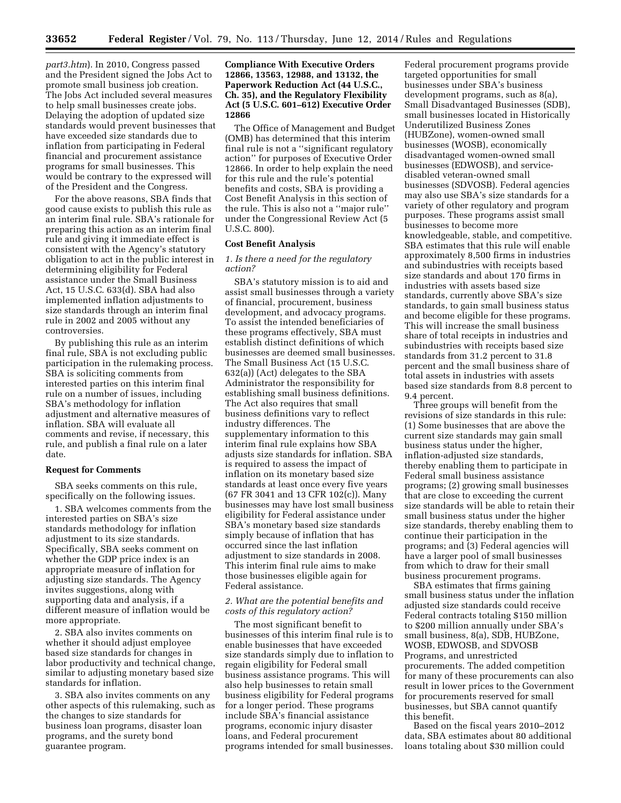*[part3.htm](http://www.federalreserve.gov/monetarypolicy/mpr_20130717_part3.htm)*). In 2010, Congress passed and the President signed the Jobs Act to promote small business job creation. The Jobs Act included several measures to help small businesses create jobs. Delaying the adoption of updated size standards would prevent businesses that have exceeded size standards due to inflation from participating in Federal financial and procurement assistance programs for small businesses. This would be contrary to the expressed will of the President and the Congress.

For the above reasons, SBA finds that good cause exists to publish this rule as an interim final rule. SBA's rationale for preparing this action as an interim final rule and giving it immediate effect is consistent with the Agency's statutory obligation to act in the public interest in determining eligibility for Federal assistance under the Small Business Act, 15 U.S.C. 633(d). SBA had also implemented inflation adjustments to size standards through an interim final rule in 2002 and 2005 without any controversies.

By publishing this rule as an interim final rule, SBA is not excluding public participation in the rulemaking process. SBA is soliciting comments from interested parties on this interim final rule on a number of issues, including SBA's methodology for inflation adjustment and alternative measures of inflation. SBA will evaluate all comments and revise, if necessary, this rule, and publish a final rule on a later date.

### **Request for Comments**

SBA seeks comments on this rule, specifically on the following issues.

1. SBA welcomes comments from the interested parties on SBA's size standards methodology for inflation adjustment to its size standards. Specifically, SBA seeks comment on whether the GDP price index is an appropriate measure of inflation for adjusting size standards. The Agency invites suggestions, along with supporting data and analysis, if a different measure of inflation would be more appropriate.

2. SBA also invites comments on whether it should adjust employee based size standards for changes in labor productivity and technical change, similar to adjusting monetary based size standards for inflation.

3. SBA also invites comments on any other aspects of this rulemaking, such as the changes to size standards for business loan programs, disaster loan programs, and the surety bond guarantee program.

### **Compliance With Executive Orders 12866, 13563, 12988, and 13132, the Paperwork Reduction Act (44 U.S.C., Ch. 35), and the Regulatory Flexibility Act (5 U.S.C. 601–612) Executive Order 12866**

The Office of Management and Budget (OMB) has determined that this interim final rule is not a ''significant regulatory action'' for purposes of Executive Order 12866. In order to help explain the need for this rule and the rule's potential benefits and costs, SBA is providing a Cost Benefit Analysis in this section of the rule. This is also not a ''major rule'' under the Congressional Review Act (5 U.S.C. 800).

### **Cost Benefit Analysis**

## *1. Is there a need for the regulatory action?*

SBA's statutory mission is to aid and assist small businesses through a variety of financial, procurement, business development, and advocacy programs. To assist the intended beneficiaries of these programs effectively, SBA must establish distinct definitions of which businesses are deemed small businesses. The Small Business Act (15 U.S.C. 632(a)) (Act) delegates to the SBA Administrator the responsibility for establishing small business definitions. The Act also requires that small business definitions vary to reflect industry differences. The supplementary information to this interim final rule explains how SBA adjusts size standards for inflation. SBA is required to assess the impact of inflation on its monetary based size standards at least once every five years (67 FR 3041 and 13 CFR 102(c)). Many businesses may have lost small business eligibility for Federal assistance under SBA's monetary based size standards simply because of inflation that has occurred since the last inflation adjustment to size standards in 2008. This interim final rule aims to make those businesses eligible again for Federal assistance.

### *2. What are the potential benefits and costs of this regulatory action?*

The most significant benefit to businesses of this interim final rule is to enable businesses that have exceeded size standards simply due to inflation to regain eligibility for Federal small business assistance programs. This will also help businesses to retain small business eligibility for Federal programs for a longer period. These programs include SBA's financial assistance programs, economic injury disaster loans, and Federal procurement programs intended for small businesses.

Federal procurement programs provide targeted opportunities for small businesses under SBA's business development programs, such as 8(a), Small Disadvantaged Businesses (SDB), small businesses located in Historically Underutilized Business Zones (HUBZone), women-owned small businesses (WOSB), economically disadvantaged women-owned small businesses (EDWOSB), and servicedisabled veteran-owned small businesses (SDVOSB). Federal agencies may also use SBA's size standards for a variety of other regulatory and program purposes. These programs assist small businesses to become more knowledgeable, stable, and competitive. SBA estimates that this rule will enable approximately 8,500 firms in industries and subindustries with receipts based size standards and about 170 firms in industries with assets based size standards, currently above SBA's size standards, to gain small business status and become eligible for these programs. This will increase the small business share of total receipts in industries and subindustries with receipts based size standards from 31.2 percent to 31.8 percent and the small business share of total assets in industries with assets based size standards from 8.8 percent to 9.4 percent.

Three groups will benefit from the revisions of size standards in this rule: (1) Some businesses that are above the current size standards may gain small business status under the higher, inflation-adjusted size standards, thereby enabling them to participate in Federal small business assistance programs; (2) growing small businesses that are close to exceeding the current size standards will be able to retain their small business status under the higher size standards, thereby enabling them to continue their participation in the programs; and (3) Federal agencies will have a larger pool of small businesses from which to draw for their small business procurement programs.

SBA estimates that firms gaining small business status under the inflation adjusted size standards could receive Federal contracts totaling \$150 million to \$200 million annually under SBA's small business, 8(a), SDB, HUBZone, WOSB, EDWOSB, and SDVOSB Programs, and unrestricted procurements. The added competition for many of these procurements can also result in lower prices to the Government for procurements reserved for small businesses, but SBA cannot quantify this benefit.

Based on the fiscal years 2010–2012 data, SBA estimates about 80 additional loans totaling about \$30 million could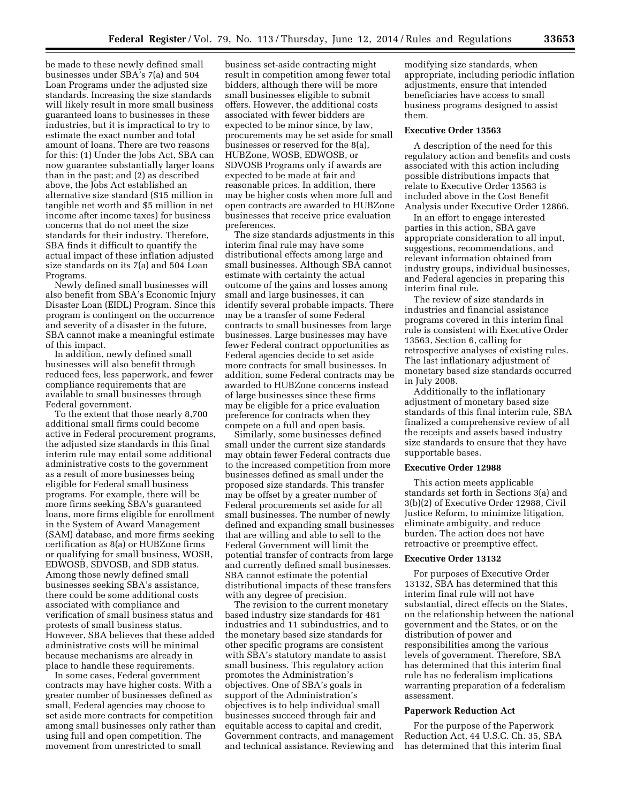be made to these newly defined small businesses under SBA's 7(a) and 504 Loan Programs under the adjusted size standards. Increasing the size standards will likely result in more small business guaranteed loans to businesses in these industries, but it is impractical to try to estimate the exact number and total amount of loans. There are two reasons for this: (1) Under the Jobs Act, SBA can now guarantee substantially larger loans than in the past; and (2) as described above, the Jobs Act established an alternative size standard (\$15 million in tangible net worth and \$5 million in net income after income taxes) for business concerns that do not meet the size standards for their industry. Therefore, SBA finds it difficult to quantify the actual impact of these inflation adjusted size standards on its 7(a) and 504 Loan Programs.

Newly defined small businesses will also benefit from SBA's Economic Injury Disaster Loan (EIDL) Program. Since this program is contingent on the occurrence and severity of a disaster in the future, SBA cannot make a meaningful estimate of this impact.

In addition, newly defined small businesses will also benefit through reduced fees, less paperwork, and fewer compliance requirements that are available to small businesses through Federal government.

To the extent that those nearly 8,700 additional small firms could become active in Federal procurement programs, the adjusted size standards in this final interim rule may entail some additional administrative costs to the government as a result of more businesses being eligible for Federal small business programs. For example, there will be more firms seeking SBA's guaranteed loans, more firms eligible for enrollment in the System of Award Management (SAM) database, and more firms seeking certification as 8(a) or HUBZone firms or qualifying for small business, WOSB, EDWOSB, SDVOSB, and SDB status. Among those newly defined small businesses seeking SBA's assistance, there could be some additional costs associated with compliance and verification of small business status and protests of small business status. However, SBA believes that these added administrative costs will be minimal because mechanisms are already in place to handle these requirements.

In some cases, Federal government contracts may have higher costs. With a greater number of businesses defined as small, Federal agencies may choose to set aside more contracts for competition among small businesses only rather than using full and open competition. The movement from unrestricted to small

business set-aside contracting might result in competition among fewer total bidders, although there will be more small businesses eligible to submit offers. However, the additional costs associated with fewer bidders are expected to be minor since, by law, procurements may be set aside for small businesses or reserved for the 8(a), HUBZone, WOSB, EDWOSB, or SDVOSB Programs only if awards are expected to be made at fair and reasonable prices. In addition, there may be higher costs when more full and open contracts are awarded to HUBZone businesses that receive price evaluation preferences.

The size standards adjustments in this interim final rule may have some distributional effects among large and small businesses. Although SBA cannot estimate with certainty the actual outcome of the gains and losses among small and large businesses, it can identify several probable impacts. There may be a transfer of some Federal contracts to small businesses from large businesses. Large businesses may have fewer Federal contract opportunities as Federal agencies decide to set aside more contracts for small businesses. In addition, some Federal contracts may be awarded to HUBZone concerns instead of large businesses since these firms may be eligible for a price evaluation preference for contracts when they compete on a full and open basis.

Similarly, some businesses defined small under the current size standards may obtain fewer Federal contracts due to the increased competition from more businesses defined as small under the proposed size standards. This transfer may be offset by a greater number of Federal procurements set aside for all small businesses. The number of newly defined and expanding small businesses that are willing and able to sell to the Federal Government will limit the potential transfer of contracts from large and currently defined small businesses. SBA cannot estimate the potential distributional impacts of these transfers with any degree of precision.

The revision to the current monetary based industry size standards for 481 industries and 11 subindustries, and to the monetary based size standards for other specific programs are consistent with SBA's statutory mandate to assist small business. This regulatory action promotes the Administration's objectives. One of SBA's goals in support of the Administration's objectives is to help individual small businesses succeed through fair and equitable access to capital and credit, Government contracts, and management and technical assistance. Reviewing and modifying size standards, when appropriate, including periodic inflation adjustments, ensure that intended beneficiaries have access to small business programs designed to assist them.

### **Executive Order 13563**

A description of the need for this regulatory action and benefits and costs associated with this action including possible distributions impacts that relate to Executive Order 13563 is included above in the Cost Benefit Analysis under Executive Order 12866.

In an effort to engage interested parties in this action, SBA gave appropriate consideration to all input, suggestions, recommendations, and relevant information obtained from industry groups, individual businesses, and Federal agencies in preparing this interim final rule.

The review of size standards in industries and financial assistance programs covered in this interim final rule is consistent with Executive Order 13563, Section 6, calling for retrospective analyses of existing rules. The last inflationary adjustment of monetary based size standards occurred in July 2008.

Additionally to the inflationary adjustment of monetary based size standards of this final interim rule, SBA finalized a comprehensive review of all the receipts and assets based industry size standards to ensure that they have supportable bases.

#### **Executive Order 12988**

This action meets applicable standards set forth in Sections 3(a) and 3(b)(2) of Executive Order 12988, Civil Justice Reform, to minimize litigation, eliminate ambiguity, and reduce burden. The action does not have retroactive or preemptive effect.

#### **Executive Order 13132**

For purposes of Executive Order 13132, SBA has determined that this interim final rule will not have substantial, direct effects on the States, on the relationship between the national government and the States, or on the distribution of power and responsibilities among the various levels of government. Therefore, SBA has determined that this interim final rule has no federalism implications warranting preparation of a federalism assessment.

#### **Paperwork Reduction Act**

For the purpose of the Paperwork Reduction Act, 44 U.S.C. Ch. 35, SBA has determined that this interim final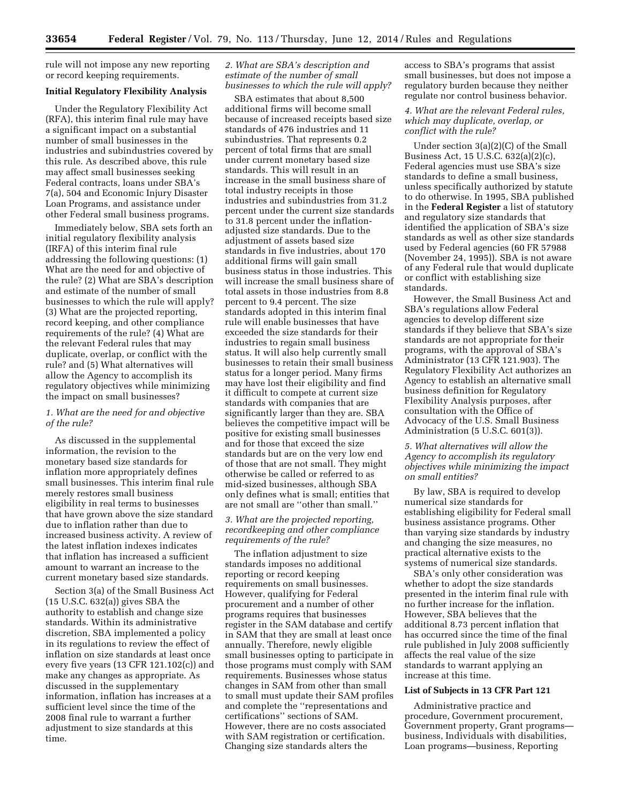rule will not impose any new reporting or record keeping requirements.

### **Initial Regulatory Flexibility Analysis**

Under the Regulatory Flexibility Act (RFA), this interim final rule may have a significant impact on a substantial number of small businesses in the industries and subindustries covered by this rule. As described above, this rule may affect small businesses seeking Federal contracts, loans under SBA's 7(a), 504 and Economic Injury Disaster Loan Programs, and assistance under other Federal small business programs.

Immediately below, SBA sets forth an initial regulatory flexibility analysis (IRFA) of this interim final rule addressing the following questions: (1) What are the need for and objective of the rule? (2) What are SBA's description and estimate of the number of small businesses to which the rule will apply? (3) What are the projected reporting, record keeping, and other compliance requirements of the rule? (4) What are the relevant Federal rules that may duplicate, overlap, or conflict with the rule? and (5) What alternatives will allow the Agency to accomplish its regulatory objectives while minimizing the impact on small businesses?

### *1. What are the need for and objective of the rule?*

As discussed in the supplemental information, the revision to the monetary based size standards for inflation more appropriately defines small businesses. This interim final rule merely restores small business eligibility in real terms to businesses that have grown above the size standard due to inflation rather than due to increased business activity. A review of the latest inflation indexes indicates that inflation has increased a sufficient amount to warrant an increase to the current monetary based size standards.

Section 3(a) of the Small Business Act (15 U.S.C. 632(a)) gives SBA the authority to establish and change size standards. Within its administrative discretion, SBA implemented a policy in its regulations to review the effect of inflation on size standards at least once every five years (13 CFR 121.102(c)) and make any changes as appropriate. As discussed in the supplementary information, inflation has increases at a sufficient level since the time of the 2008 final rule to warrant a further adjustment to size standards at this time.

*2. What are SBA's description and estimate of the number of small businesses to which the rule will apply?* 

SBA estimates that about 8,500 additional firms will become small because of increased receipts based size standards of 476 industries and 11 subindustries. That represents 0.2 percent of total firms that are small under current monetary based size standards. This will result in an increase in the small business share of total industry receipts in those industries and subindustries from 31.2 percent under the current size standards to 31.8 percent under the inflationadjusted size standards. Due to the adjustment of assets based size standards in five industries, about 170 additional firms will gain small business status in those industries. This will increase the small business share of total assets in those industries from 8.8 percent to 9.4 percent. The size standards adopted in this interim final rule will enable businesses that have exceeded the size standards for their industries to regain small business status. It will also help currently small businesses to retain their small business status for a longer period. Many firms may have lost their eligibility and find it difficult to compete at current size standards with companies that are significantly larger than they are. SBA believes the competitive impact will be positive for existing small businesses and for those that exceed the size standards but are on the very low end of those that are not small. They might otherwise be called or referred to as mid-sized businesses, although SBA only defines what is small; entities that are not small are ''other than small.''

### *3. What are the projected reporting, recordkeeping and other compliance requirements of the rule?*

The inflation adjustment to size standards imposes no additional reporting or record keeping requirements on small businesses. However, qualifying for Federal procurement and a number of other programs requires that businesses register in the SAM database and certify in SAM that they are small at least once annually. Therefore, newly eligible small businesses opting to participate in those programs must comply with SAM requirements. Businesses whose status changes in SAM from other than small to small must update their SAM profiles and complete the ''representations and certifications'' sections of SAM. However, there are no costs associated with SAM registration or certification. Changing size standards alters the

access to SBA's programs that assist small businesses, but does not impose a regulatory burden because they neither regulate nor control business behavior.

### *4. What are the relevant Federal rules, which may duplicate, overlap, or conflict with the rule?*

Under section 3(a)(2)(C) of the Small Business Act, 15 U.S.C. 632(a)(2)(c), Federal agencies must use SBA's size standards to define a small business, unless specifically authorized by statute to do otherwise. In 1995, SBA published in the **Federal Register** a list of statutory and regulatory size standards that identified the application of SBA's size standards as well as other size standards used by Federal agencies (60 FR 57988 (November 24, 1995)). SBA is not aware of any Federal rule that would duplicate or conflict with establishing size standards.

However, the Small Business Act and SBA's regulations allow Federal agencies to develop different size standards if they believe that SBA's size standards are not appropriate for their programs, with the approval of SBA's Administrator (13 CFR 121.903). The Regulatory Flexibility Act authorizes an Agency to establish an alternative small business definition for Regulatory Flexibility Analysis purposes, after consultation with the Office of Advocacy of the U.S. Small Business Administration (5 U.S.C. 601(3)).

### *5. What alternatives will allow the Agency to accomplish its regulatory objectives while minimizing the impact on small entities?*

By law, SBA is required to develop numerical size standards for establishing eligibility for Federal small business assistance programs. Other than varying size standards by industry and changing the size measures, no practical alternative exists to the systems of numerical size standards.

SBA's only other consideration was whether to adopt the size standards presented in the interim final rule with no further increase for the inflation. However, SBA believes that the additional 8.73 percent inflation that has occurred since the time of the final rule published in July 2008 sufficiently affects the real value of the size standards to warrant applying an increase at this time.

# **List of Subjects in 13 CFR Part 121**

Administrative practice and procedure, Government procurement, Government property, Grant programs business, Individuals with disabilities, Loan programs—business, Reporting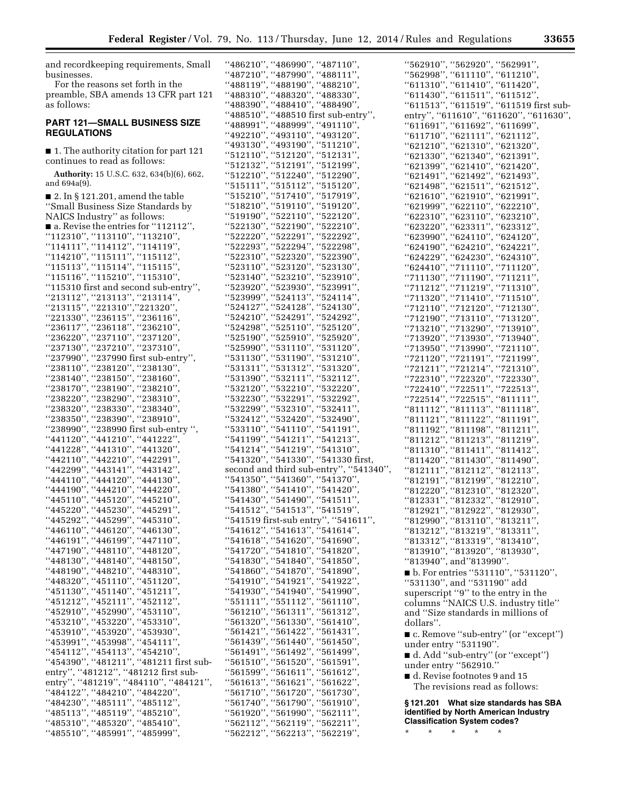| and recordkeeping requirements, Small                                 | "486210", "486990", "487110",                                                | "562910", "562920", "562991",                                                |
|-----------------------------------------------------------------------|------------------------------------------------------------------------------|------------------------------------------------------------------------------|
| businesses.                                                           | "487210", "487990", "488111"                                                 | "562998", "611110", "611210",                                                |
| For the reasons set forth in the                                      | "488119", "488190", "488210",                                                | "611310", "611410", "611420",                                                |
| preamble, SBA amends 13 CFR part 121<br>as follows:                   | "488310", "488320", "488330",<br>"488390", "488410", "488490",               | "611430", "611511", "611512",<br>"611513", "611519", "611519 first sub-      |
|                                                                       | "488510", "488510 first sub-entry",                                          | entry", "611610", "611620", "611630",                                        |
| <b>PART 121-SMALL BUSINESS SIZE</b>                                   | "488991", "488999", "491110"                                                 | "611691", "611692", "611699",                                                |
| <b>REGULATIONS</b>                                                    | "492210", "493110", "493120",                                                | "611710", "621111", "621112",                                                |
| ■ 1. The authority citation for part 121                              | "493130", "493190", "511210",                                                | "621210", "621310", "621320",                                                |
| continues to read as follows:                                         | "512110", "512120", "512131"                                                 | "621330", "621340", "621391",                                                |
|                                                                       | "512132", "512191", "512199"                                                 | "621399", "621410", "621420",                                                |
| Authority: 15 U.S.C. 632, 634(b)(6), 662,<br>and $694a(9)$ .          | "512210", "512240", "512290",                                                | "621491", "621492", "621493",                                                |
| $\blacksquare$ 2. In § 121.201, amend the table                       | "515111", "515112", "515120",<br>"515210", "517410", "517919",               | "621498", "621511", "621512",<br>"621610", "621910", "621991",               |
| "Small Business Size Standards by                                     | "518210", "519110", "519120",                                                | "621999", "622110", "622210",                                                |
| NAICS Industry" as follows:                                           | "519190", "522110", "522120"                                                 | "622310", "623110", "623210"                                                 |
| $\blacksquare$ a. Revise the entries for "112112",                    | "522130", "522190", "522210"                                                 | "623220", "623311", "623312",                                                |
| "112310", "113110", "113210",                                         | "522220", "522291", "522292",                                                | "623990", "624110", "624120",                                                |
| "114111", "114112", "114119",                                         | "522293", "522294", "522298"                                                 | "624190", "624210", "624221",                                                |
| "114210", "115111", "115112",                                         | "522310", "522320", "522390",                                                | "624229", "624230", "624310",                                                |
| "115113", "115114", "115115",                                         | "523110", "523120", "523130",                                                | "624410", "711110", "711120",                                                |
| "115116", "115210", "115310",<br>"115310 first and second sub-entry", | "523140", "523210", "523910",<br>"523920", "523930", "523991"                | "711130", "711190", "711211",<br>"711212", "711219", "711310",               |
| "213112", "213113", "213114",                                         | "523999", "524113", "524114",                                                | "711320", "711410", "711510",                                                |
| "213115", "221310", "221320",                                         | "524127", "524128", "524130"                                                 | "712110", "712120", "712130",                                                |
| "221330", "236115", "236116",                                         | "524210", "524291", "524292"                                                 | "712190", "713110", "713120",                                                |
| "236117", "236118", "236210",                                         | "524298", "525110", "525120",                                                | "713210", "713290", "713910",                                                |
| "236220", "237110", "237120",                                         | "525190", "525910", "525920",                                                | "713920", "713930", "713940",                                                |
| "237130", "237210", "237310",                                         | "525990", "531110", "531120",                                                | "713950", "713990", "721110",                                                |
| "237990", "237990 first sub-entry",                                   | "531130", "531190", "531210",                                                | "721120", "721191", "721199",                                                |
| "238110", "238120", "238130",<br>"238140", "238150", "238160",        | "531311", "531312", "531320"<br>"531390", "532111", "532112"                 | "721211", "721214", "721310",<br>"722310", "722320", "722330",               |
| "238170", "238190", "238210",                                         | "532120", "532210", "532220",                                                | "722410", "722511", "722513",                                                |
| "238220", "238290", "238310",                                         | "532230", "532291", "532292"                                                 | "722514", "722515", "811111",                                                |
| "238320", "238330", "238340",                                         | "532299", "532310", "532411",                                                | "811112", "811113", "811118",                                                |
| "238350", "238390", "238910",                                         | "532412", "532420", "532490",                                                | "811121", "811122", "811191",                                                |
| "238990", "238990 first sub-entry ",                                  | "533110", "541110", "541191"                                                 | "811192", "811198", "811211",                                                |
| "441120", "441210", "441222"                                          | "541199", "541211", "541213"                                                 | "811212", "811213", "811219",                                                |
| "441228", "441310", "441320",                                         | "541214", "541219", "541310",                                                | "811310", "811411", "811412"                                                 |
| "442110", "442210", "442291"<br>"442299", "443141", "443142",         | "541320", "541330", "541330 first,<br>second and third sub-entry", "541340", | "811420", "811430", "811490",<br>"812111", "812112", "812113",               |
| "444110", "444120", "444130",                                         | "541350", "541360", "541370",                                                | "812191", "812199", "812210",                                                |
| "444190", "444210", "444220"                                          | "541380", "541410", "541420",                                                | "812220", "812310", "812320"                                                 |
| "445110", "445120", "445210"                                          | "541430", "541490", "541511",                                                | "812331", "812332", "812910",                                                |
| "445220", "445230", "445291"                                          | "541512", "541513", "541519"                                                 | "812921", "812922", "812930",                                                |
| "445292", "445299", "445310",                                         | "541519 first-sub entry", "541611",                                          | "812990", "813110", "813211"                                                 |
| "446110", "446120", "446130",                                         | "541612", "541613", "541614",                                                | "813212", "813219", "813311",                                                |
| "446191", "446199", "447110",                                         | "541618", "541620", "541690",                                                | "813312", "813319", "813410",                                                |
| "447190", "448110", "448120",<br>"448130", "448140", "448150",        | "541720", "541810", "541820",<br>"541830", "541840", "541850",               | "813910", "813920", "813930",                                                |
| "448190", "448210", "448310",                                         | "541860", "541870", "541890",                                                | "813940", and"813990".<br>■ b. For entries "531110", "531120",               |
| "448320", "451110", "451120",                                         | "541910", "541921", "541922",                                                | "531130", and "531190" add                                                   |
| "451130", "451140", "451211",                                         | "541930", "541940", "541990",                                                | superscript "9" to the entry in the                                          |
| "451212", "452111", "452112",                                         | "551111", "551112", "561110",                                                | columns "NAICS U.S. industry title"                                          |
| "452910", "452990", "453110",                                         | "561210", "561311", "561312",                                                | and "Size standards in millions of                                           |
| "453210", "453220", "453310",                                         | "561320", "561330", "561410",                                                | dollars".                                                                    |
| "453910", "453920", "453930",                                         | "561421", "561422", "561431",                                                | ■ c. Remove "sub-entry" (or "except")                                        |
| "453991", "453998", "454111",<br>"454112", "454113", "454210",        | "561439", "561440", "561450",<br>"561491", "561492", "561499",               | under entry "531190".                                                        |
| "454390", "481211", "481211 first sub-                                | "561510", "561520", "561591",                                                | d. Add "sub-entry" (or "except")                                             |
| entry", "481212", "481212 first sub-                                  | "561599", "561611", "561612"                                                 | under entry "562910."                                                        |
| entry", "481219", "484110", "484121",                                 | "561613", "561621", "561622",                                                | d. Revise footnotes 9 and 15<br>The revisions read as follows:               |
| "484122", "484210", "484220",                                         | "561710", "561720", "561730",                                                |                                                                              |
| "484230", "485111", "485112",                                         | "561740", "561790", "561910",                                                | §121.201 What size standards has SBA                                         |
| "485113", "485119", "485210",                                         | "561920", "561990", "562111",                                                | identified by North American Industry<br><b>Classification System codes?</b> |
| "485310", "485320", "485410",                                         | "562112", "562119", "562211",<br>"562212", "562213", "562219",               | $\star$<br>$\star$<br>$\star$<br>$^\star$<br>$\star$                         |
| "485510", "485991", "485999",                                         |                                                                              |                                                                              |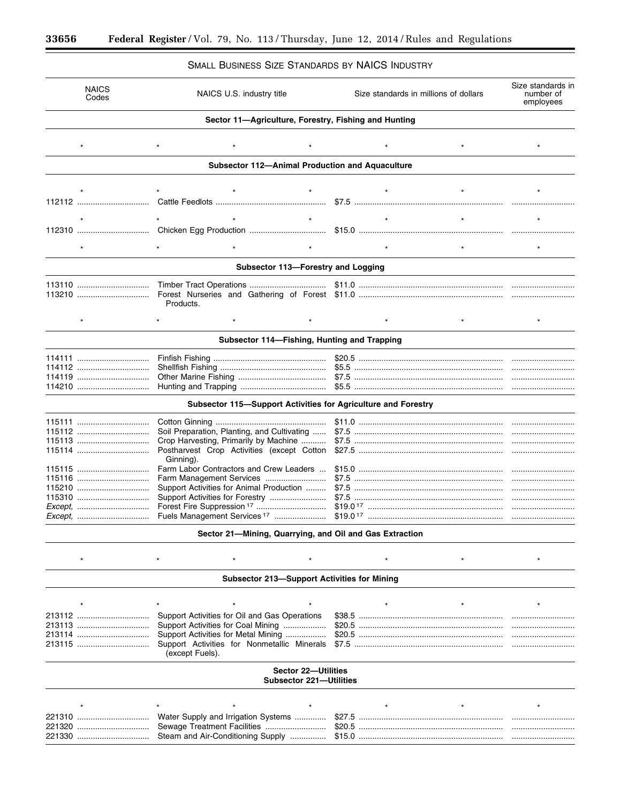$\equiv$ 

۲

# SMALL BUSINESS SIZE STANDARDS BY NAICS INDUSTRY

| <b>NAICS</b><br>Codes | NAICS U.S. industry title                                                           |  |         | Size standards in millions of dollars | Size standards in<br>number of<br>employees |
|-----------------------|-------------------------------------------------------------------------------------|--|---------|---------------------------------------|---------------------------------------------|
|                       | Sector 11-Agriculture, Forestry, Fishing and Hunting                                |  |         |                                       |                                             |
|                       |                                                                                     |  |         |                                       |                                             |
|                       | Subsector 112-Animal Production and Aquaculture                                     |  |         |                                       |                                             |
|                       |                                                                                     |  |         |                                       |                                             |
|                       |                                                                                     |  |         | $\star$                               | $^\star$                                    |
|                       |                                                                                     |  |         |                                       |                                             |
|                       |                                                                                     |  | $\star$ |                                       |                                             |
| 112310                |                                                                                     |  |         |                                       |                                             |
|                       | $\star$                                                                             |  | $\star$ |                                       |                                             |
|                       | Subsector 113-Forestry and Logging                                                  |  |         |                                       |                                             |
|                       |                                                                                     |  |         |                                       |                                             |
|                       | Products.                                                                           |  |         |                                       |                                             |
|                       |                                                                                     |  |         |                                       |                                             |
|                       | Subsector 114-Fishing, Hunting and Trapping                                         |  |         |                                       |                                             |
|                       |                                                                                     |  |         |                                       |                                             |
|                       |                                                                                     |  |         |                                       |                                             |
|                       |                                                                                     |  |         |                                       |                                             |
| 114210                |                                                                                     |  |         |                                       |                                             |
|                       | Subsector 115-Support Activities for Agriculture and Forestry                       |  |         |                                       |                                             |
|                       |                                                                                     |  |         |                                       |                                             |
|                       | Soil Preparation, Planting, and Cultivating                                         |  |         |                                       |                                             |
|                       | Crop Harvesting, Primarily by Machine<br>Postharvest Crop Activities (except Cotton |  |         |                                       |                                             |
|                       | Ginning).                                                                           |  |         |                                       |                                             |
|                       | Farm Labor Contractors and Crew Leaders                                             |  |         |                                       |                                             |
| 115210                | Farm Management Services<br>Support Activities for Animal Production                |  |         |                                       |                                             |
| 115310                |                                                                                     |  |         |                                       |                                             |
|                       |                                                                                     |  |         |                                       |                                             |
|                       | Fuels Management Services <sup>17</sup>                                             |  |         |                                       |                                             |
|                       | Sector 21-Mining, Quarrying, and Oil and Gas Extraction                             |  |         |                                       |                                             |
|                       |                                                                                     |  |         |                                       |                                             |
|                       | <b>Subsector 213-Support Activities for Mining</b>                                  |  |         |                                       |                                             |
|                       |                                                                                     |  |         |                                       |                                             |
|                       |                                                                                     |  |         |                                       |                                             |
|                       | Support Activities for Oil and Gas Operations<br>Support Activities for Coal Mining |  |         |                                       |                                             |
|                       | Support Activities for Metal Mining                                                 |  |         |                                       |                                             |
|                       | Support Activities for Nonmetallic Minerals<br>(except Fuels).                      |  |         |                                       |                                             |
|                       | <b>Sector 22-Utilities</b>                                                          |  |         |                                       |                                             |
|                       | <b>Subsector 221-Utilities</b>                                                      |  |         |                                       |                                             |
|                       |                                                                                     |  |         |                                       |                                             |
| 221310                | Water Supply and Irrigation Systems                                                 |  |         |                                       |                                             |
| 221320                |                                                                                     |  |         |                                       | .                                           |
| 221330                | Steam and Air-Conditioning Supply                                                   |  |         |                                       |                                             |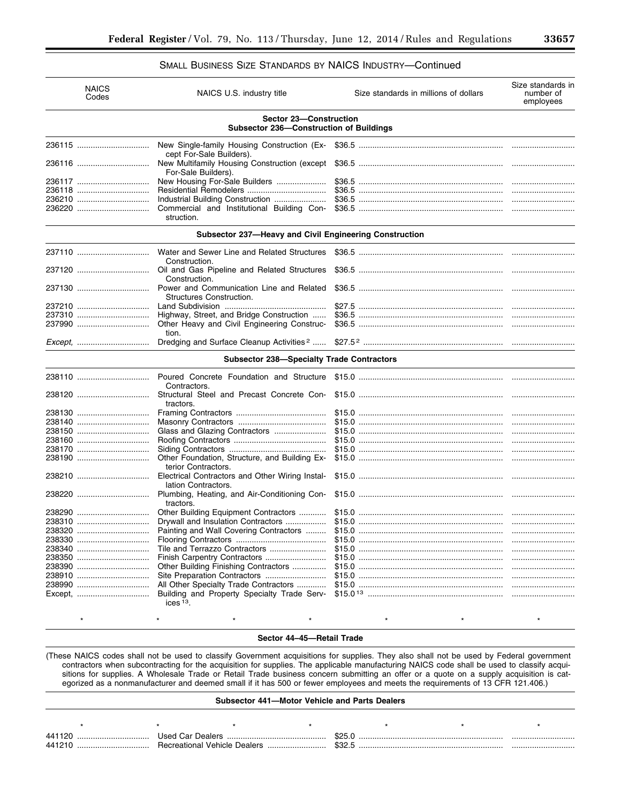# SMALL BUSINESS SIZE STANDARDS BY NAICS INDUSTRY—Continued

|        | <b>NAICS</b><br>Codes | NAICS U.S. industry title                                               | Size standards in millions of dollars | Size standards in<br>number of<br>employees |
|--------|-----------------------|-------------------------------------------------------------------------|---------------------------------------|---------------------------------------------|
|        |                       | Sector 23-Construction<br>Subsector 236-Construction of Buildings       |                                       |                                             |
|        | 236115                | New Single-family Housing Construction (Ex-<br>cept For-Sale Builders). |                                       |                                             |
|        | 236116                | For-Sale Builders).                                                     |                                       |                                             |
|        | 236117<br>236118      | New Housing For-Sale Builders                                           |                                       |                                             |
|        |                       |                                                                         |                                       |                                             |
|        | 236210                | Commercial and Institutional Building Con-                              |                                       |                                             |
|        | 236220                | struction.                                                              |                                       |                                             |
|        |                       | Subsector 237-Heavy and Civil Engineering Construction                  |                                       |                                             |
|        | 237110                | Water and Sewer Line and Related Structures<br>Construction.            |                                       |                                             |
|        | 237120                | Oil and Gas Pipeline and Related Structures<br>Construction.            |                                       |                                             |
|        | 237130                | Power and Communication Line and Related<br>Structures Construction.    |                                       |                                             |
|        | 237210                |                                                                         |                                       |                                             |
|        | 237310                | Highway, Street, and Bridge Construction                                |                                       |                                             |
|        | 237990                | Other Heavy and Civil Engineering Construc-<br>tion.                    |                                       |                                             |
|        |                       | Dredging and Surface Cleanup Activities <sup>2</sup>                    |                                       |                                             |
|        |                       | <b>Subsector 238-Specialty Trade Contractors</b>                        |                                       |                                             |
|        | 238110                | Poured Concrete Foundation and Structure<br>Contractors.                |                                       |                                             |
|        | 238120                | Structural Steel and Precast Concrete Con-<br>tractors.                 |                                       |                                             |
|        | 238130                |                                                                         |                                       |                                             |
|        | 238140                |                                                                         |                                       |                                             |
|        | 238150                |                                                                         |                                       |                                             |
|        | 238160                |                                                                         |                                       |                                             |
|        | 238170<br>238190      | Other Foundation, Structure, and Building Ex-                           |                                       |                                             |
|        |                       | terior Contractors.                                                     |                                       |                                             |
|        | 238210                | Electrical Contractors and Other Wiring Instal-<br>lation Contractors.  |                                       |                                             |
|        | 238220                | Plumbing, Heating, and Air-Conditioning Con-<br>tractors.               |                                       |                                             |
|        | 238290                | Other Building Equipment Contractors                                    |                                       |                                             |
|        | 238310                | Drywall and Insulation Contractors                                      |                                       |                                             |
|        | 238320                | Painting and Wall Covering Contractors                                  |                                       |                                             |
| 238340 | 238330                |                                                                         |                                       |                                             |
|        | 238350                |                                                                         |                                       |                                             |
|        | 238390                | Other Building Finishing Contractors                                    |                                       |                                             |
|        | 238910                | Site Preparation Contractors                                            |                                       |                                             |
|        | 238990                | All Other Specialty Trade Contractors                                   |                                       |                                             |
|        | Except,               | Building and Property Specialty Trade Serv-<br>$i$ ces $13$ .           |                                       |                                             |
|        |                       |                                                                         |                                       |                                             |

### **Sector 44–45—Retail Trade**

(These NAICS codes shall not be used to classify Government acquisitions for supplies. They also shall not be used by Federal government contractors when subcontracting for the acquisition for supplies. The applicable manufacturing NAICS code shall be used to classify acquisitions for supplies. A Wholesale Trade or Retail Trade business concern submitting an offer or a quote on a supply acquisition is categorized as a nonmanufacturer and deemed small if it has 500 or fewer employees and meets the requirements of 13 CFR 121.406.)

### **Subsector 441—Motor Vehicle and Parts Dealers**

| 44112C           | <b>JSA</b> |  | .62'<br>__ |  |
|------------------|------------|--|------------|--|
| 441 <sup>-</sup> | ┒┢         |  | ے ق        |  |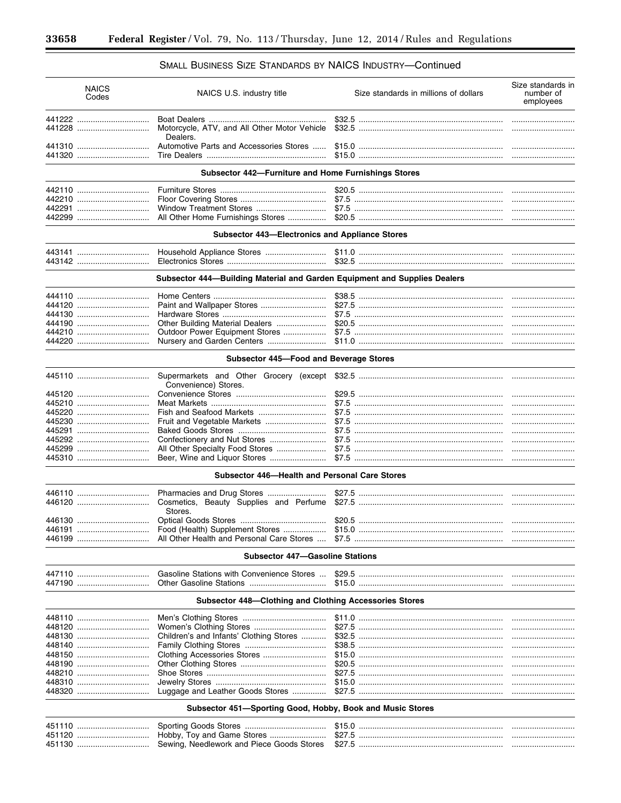۳

# SMALL BUSINESS SIZE STANDARDS BY NAICS INDUSTRY-Continued

| <b>NAICS</b><br>Codes | NAICS U.S. industry title                                                 | Size standards in millions of dollars | Size standards in<br>number of<br>employees |
|-----------------------|---------------------------------------------------------------------------|---------------------------------------|---------------------------------------------|
|                       |                                                                           |                                       |                                             |
| 441228                | Motorcycle, ATV, and All Other Motor Vehicle                              |                                       |                                             |
| 441310                | Dealers.<br>Automotive Parts and Accessories Stores                       |                                       |                                             |
| 441320                |                                                                           |                                       |                                             |
|                       | Subsector 442-Furniture and Home Furnishings Stores                       |                                       |                                             |
| 442110                |                                                                           |                                       |                                             |
| 442210                |                                                                           |                                       |                                             |
| 442291                |                                                                           |                                       |                                             |
|                       | All Other Home Furnishings Stores                                         |                                       |                                             |
|                       | <b>Subsector 443–Electronics and Appliance Stores</b>                     |                                       |                                             |
|                       |                                                                           |                                       |                                             |
| 443142                |                                                                           |                                       |                                             |
|                       |                                                                           |                                       |                                             |
|                       | Subsector 444-Building Material and Garden Equipment and Supplies Dealers |                                       |                                             |
|                       |                                                                           |                                       |                                             |
| 444120                |                                                                           |                                       |                                             |
| 444130                |                                                                           |                                       |                                             |
| 444190<br>444210      | Other Building Material Dealers<br>Outdoor Power Equipment Stores         |                                       |                                             |
|                       | Nursery and Garden Centers                                                |                                       |                                             |
|                       |                                                                           |                                       |                                             |
|                       | Subsector 445-Food and Beverage Stores                                    |                                       |                                             |
| 445110                | Supermarkets and Other Grocery (except<br>Convenience) Stores.            |                                       |                                             |
| 445120                |                                                                           |                                       |                                             |
| 445210                |                                                                           |                                       |                                             |
| 445220                | Fish and Seafood Markets                                                  |                                       |                                             |
| 445230<br>445291      |                                                                           |                                       |                                             |
| 445292                |                                                                           |                                       | <br>                                        |
| 445299                |                                                                           |                                       |                                             |
| 445310                | Beer, Wine and Liquor Stores                                              |                                       |                                             |
|                       | Subsector 446-Health and Personal Care Stores                             |                                       |                                             |
| 446110                |                                                                           |                                       |                                             |
| 446120                | Stores.                                                                   |                                       |                                             |
| 446130                |                                                                           |                                       |                                             |
| 446191                | Food (Health) Supplement Stores                                           |                                       |                                             |
| 446199                | All Other Health and Personal Care Stores                                 |                                       |                                             |
|                       | <b>Subsector 447-Gasoline Stations</b>                                    |                                       |                                             |
| 447110                | Gasoline Stations with Convenience Stores                                 |                                       |                                             |
| 447190                |                                                                           |                                       |                                             |
|                       | Subsector 448-Clothing and Clothing Accessories Stores                    |                                       |                                             |
| 448110                |                                                                           |                                       |                                             |
| 448120                |                                                                           |                                       |                                             |
| 448130                | Children's and Infants' Clothing Stores                                   |                                       |                                             |
| 448140                |                                                                           |                                       |                                             |
| 448150                |                                                                           |                                       |                                             |
| 448190                |                                                                           |                                       |                                             |
| - 448210<br>448310    |                                                                           |                                       |                                             |
| 448320                | Luggage and Leather Goods Stores                                          |                                       |                                             |
|                       |                                                                           |                                       |                                             |
|                       | Subsector 451-Sporting Good, Hobby, Book and Music Stores                 |                                       |                                             |
| 451110                |                                                                           |                                       |                                             |
|                       |                                                                           |                                       |                                             |
|                       | Sewing, Needlework and Piece Goods Stores                                 |                                       |                                             |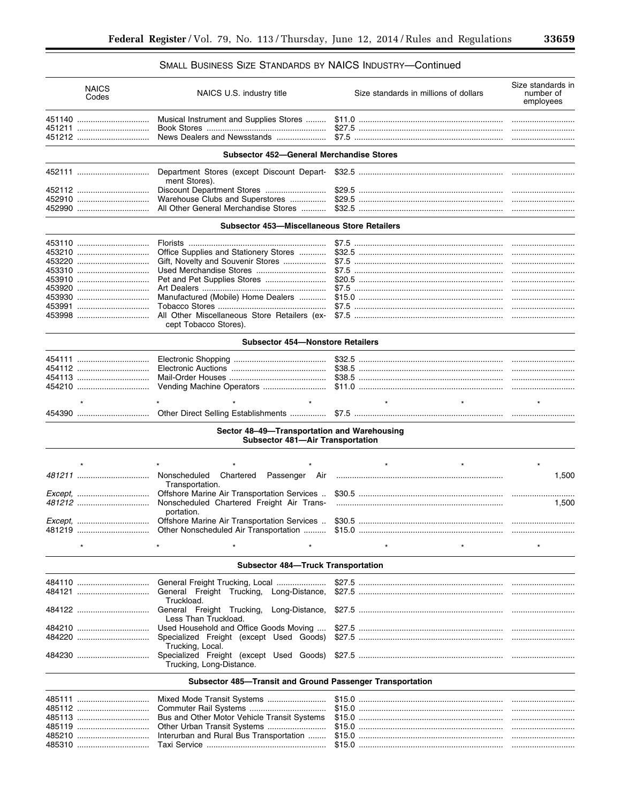# SMALL BUSINESS SIZE STANDARDS BY NAICS INDUSTRY-Continued

|        | <b>NAICS</b><br>Codes | NAICS U.S. industry title                                                       | Size standards in millions of dollars | Size standards in<br>number of<br>employees |
|--------|-----------------------|---------------------------------------------------------------------------------|---------------------------------------|---------------------------------------------|
|        | 451140                | Musical Instrument and Supplies Stores                                          |                                       |                                             |
|        | 451212                | News Dealers and Newsstands                                                     |                                       |                                             |
|        |                       | <b>Subsector 452-General Merchandise Stores</b>                                 |                                       |                                             |
|        |                       |                                                                                 |                                       |                                             |
|        | 452111                | Department Stores (except Discount Depart-<br>ment Stores).                     |                                       |                                             |
|        | 452112                | Discount Department Stores                                                      |                                       |                                             |
|        | 452910<br>452990      | Warehouse Clubs and Superstores<br>All Other General Merchandise Stores         |                                       |                                             |
|        |                       | <b>Subsector 453-Miscellaneous Store Retailers</b>                              |                                       |                                             |
|        |                       |                                                                                 |                                       |                                             |
|        | 453110                |                                                                                 |                                       |                                             |
|        | 453210                | Office Supplies and Stationery Stores                                           |                                       |                                             |
|        | 453220<br>453310      | Gift, Novelty and Souvenir Stores                                               |                                       |                                             |
|        | 453910                |                                                                                 |                                       |                                             |
|        | 453920                |                                                                                 |                                       |                                             |
|        | 453930                | Manufactured (Mobile) Home Dealers                                              |                                       |                                             |
|        | 453991                |                                                                                 |                                       |                                             |
|        | 453998                | All Other Miscellaneous Store Retailers (ex-<br>cept Tobacco Stores).           |                                       |                                             |
|        |                       | <b>Subsector 454-Nonstore Retailers</b>                                         |                                       |                                             |
|        |                       |                                                                                 |                                       |                                             |
|        | 454111<br>454112      |                                                                                 |                                       |                                             |
|        | 454113                |                                                                                 |                                       |                                             |
|        | 454210                |                                                                                 |                                       |                                             |
|        |                       |                                                                                 |                                       |                                             |
|        | 454390                |                                                                                 | $\star$<br>$\star$                    |                                             |
|        |                       |                                                                                 |                                       |                                             |
|        |                       | Sector 48-49-Transportation and Warehousing<br>Subsector 481-Air Transportation |                                       |                                             |
|        |                       |                                                                                 |                                       |                                             |
|        |                       |                                                                                 |                                       |                                             |
|        |                       | Nonscheduled<br>Passenger Air<br>Chartered<br>Transportation.                   |                                       | 1,500                                       |
|        |                       | Offshore Marine Air Transportation Services                                     |                                       |                                             |
|        |                       | Nonscheduled Chartered Freight Air Trans-<br>portation.                         |                                       | 1,500                                       |
|        | Except,               | Offshore Marine Air Transportation Services                                     |                                       |                                             |
| 481219 |                       | Other Nonscheduled Air Transportation                                           | \$15.0                                |                                             |
|        |                       |                                                                                 |                                       |                                             |
|        |                       | <b>Subsector 484-Truck Transportation</b>                                       |                                       |                                             |
|        | 484110                | General Freight Trucking, Local                                                 |                                       |                                             |
|        | 484121                | General Freight Trucking, Long-Distance,<br>Truckload.                          |                                       |                                             |
|        | 484122                | General Freight Trucking,<br>Long-Distance,<br>Less Than Truckload.             |                                       |                                             |
|        | 484210                | Used Household and Office Goods Moving                                          |                                       |                                             |
|        | 484220                | Specialized Freight (except Used Goods)<br>Trucking, Local.                     |                                       |                                             |
|        | 484230                | Trucking, Long-Distance.                                                        |                                       |                                             |
|        |                       | Subsector 485–Transit and Ground Passenger Transportation                       |                                       |                                             |
|        | 485111                | Mixed Mode Transit Systems                                                      |                                       |                                             |
|        | 485112                |                                                                                 |                                       |                                             |
|        | 485113                | Bus and Other Motor Vehicle Transit Systems                                     |                                       |                                             |
|        | 485119                |                                                                                 |                                       |                                             |
|        | 485210                | Interurban and Rural Bus Transportation                                         |                                       |                                             |
|        | 485310                |                                                                                 |                                       |                                             |

 $\equiv$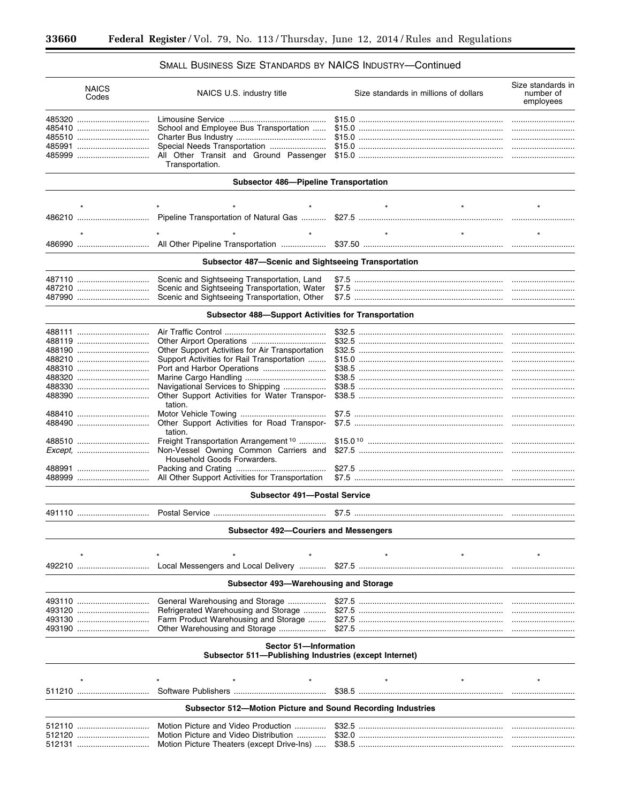$\equiv$ 

٠

# SMALL BUSINESS SIZE STANDARDS BY NAICS INDUSTRY-Continued

| <b>NAICS</b><br>Codes | NAICS U.S. industry title                                                                    | Size standards in millions of dollars | Size standards in<br>number of<br>employees |
|-----------------------|----------------------------------------------------------------------------------------------|---------------------------------------|---------------------------------------------|
| 485320                |                                                                                              |                                       |                                             |
| 485410                | School and Employee Bus Transportation                                                       |                                       |                                             |
| 485510                |                                                                                              |                                       |                                             |
| 485991                |                                                                                              |                                       |                                             |
|                       | All Other Transit and Ground Passenger<br>Transportation.                                    |                                       |                                             |
|                       | Subsector 486-Pipeline Transportation                                                        |                                       |                                             |
|                       | $^\star$                                                                                     |                                       |                                             |
|                       |                                                                                              |                                       |                                             |
|                       |                                                                                              | $\star$                               |                                             |
|                       |                                                                                              |                                       |                                             |
|                       | Subsector 487-Scenic and Sightseeing Transportation                                          |                                       |                                             |
|                       |                                                                                              |                                       |                                             |
| 487110<br>487210      | Scenic and Sightseeing Transportation, Land                                                  |                                       |                                             |
| 487990                | Scenic and Sightseeing Transportation, Water<br>Scenic and Sightseeing Transportation, Other |                                       |                                             |
|                       |                                                                                              |                                       |                                             |
|                       | Subsector 488-Support Activities for Transportation                                          |                                       |                                             |
|                       |                                                                                              |                                       |                                             |
|                       |                                                                                              |                                       |                                             |
| 488190                | Other Support Activities for Air Transportation                                              |                                       |                                             |
| 488210                | Support Activities for Rail Transportation                                                   |                                       |                                             |
| 488310<br>488320      | Port and Harbor Operations                                                                   |                                       |                                             |
|                       | Navigational Services to Shipping                                                            |                                       |                                             |
| 488390                | Other Support Activities for Water Transpor-                                                 |                                       |                                             |
|                       | tation.                                                                                      |                                       |                                             |
| 488410                |                                                                                              |                                       |                                             |
| 488490                | Other Support Activities for Road Transpor-<br>tation.                                       |                                       |                                             |
| 488510                | Freight Transportation Arrangement <sup>10</sup>                                             |                                       |                                             |
| Except,               | Non-Vessel Owning Common Carriers and<br>Household Goods Forwarders.                         |                                       |                                             |
|                       |                                                                                              |                                       |                                             |
|                       | All Other Support Activities for Transportation                                              |                                       |                                             |
|                       | Subsector 491-Postal Service                                                                 |                                       |                                             |
|                       |                                                                                              |                                       |                                             |
|                       | Subsector 492-Couriers and Messengers                                                        |                                       |                                             |
|                       |                                                                                              |                                       |                                             |
|                       |                                                                                              |                                       |                                             |
|                       |                                                                                              |                                       |                                             |
|                       | Subsector 493-Warehousing and Storage                                                        |                                       |                                             |
| 493110                | General Warehousing and Storage                                                              |                                       |                                             |
| 493120                | Refrigerated Warehousing and Storage                                                         |                                       |                                             |
| 493130                | Farm Product Warehousing and Storage                                                         |                                       |                                             |
| 493190                | Other Warehousing and Storage                                                                |                                       |                                             |
|                       |                                                                                              |                                       |                                             |
|                       | Sector 51-Information<br>Subsector 511—Publishing Industries (except Internet)               |                                       |                                             |
|                       |                                                                                              |                                       |                                             |
|                       |                                                                                              |                                       |                                             |
|                       |                                                                                              |                                       |                                             |
|                       | Subsector 512-Motion Picture and Sound Recording Industries                                  |                                       |                                             |
|                       | Motion Picture and Video Production                                                          |                                       |                                             |
| 512120                | Motion Picture and Video Distribution                                                        |                                       |                                             |
|                       | Motion Picture Theaters (except Drive-Ins)                                                   |                                       |                                             |
|                       |                                                                                              |                                       |                                             |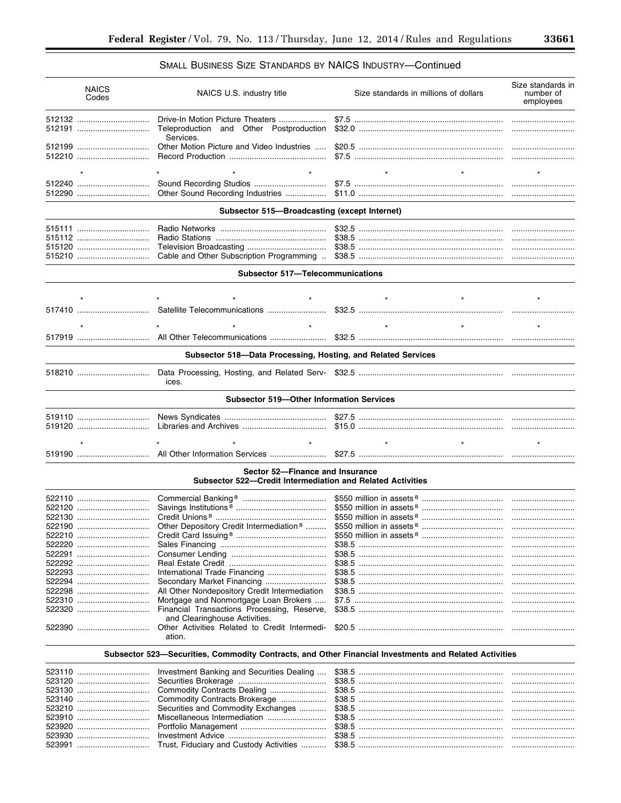# SMALL BUSINESS SIZE STANDARDS BY NAICS INDUSTRY-Continued

| <b>NAICS</b><br>Codes | NAICS U.S. industry title                                                                             | Size standards in millions of dollars | Size standards in<br>number of<br>employees |
|-----------------------|-------------------------------------------------------------------------------------------------------|---------------------------------------|---------------------------------------------|
|                       | Drive-In Motion Picture Theaters<br>Teleproduction and Other Postproduction<br>Services.              |                                       |                                             |
|                       |                                                                                                       |                                       |                                             |
|                       |                                                                                                       |                                       |                                             |
|                       |                                                                                                       |                                       |                                             |
|                       | Subsector 515-Broadcasting (except Internet)                                                          |                                       |                                             |
|                       |                                                                                                       |                                       |                                             |
|                       |                                                                                                       |                                       |                                             |
| 515120                |                                                                                                       |                                       |                                             |
|                       | Subsector 517-Telecommunications                                                                      |                                       |                                             |
|                       |                                                                                                       |                                       |                                             |
| $\star$               | $\star$                                                                                               | $^\star$<br>$\star$                   | $\star$                                     |
|                       |                                                                                                       | $\star$                               |                                             |
|                       |                                                                                                       |                                       |                                             |
|                       | Subsector 518-Data Processing, Hosting, and Related Services                                          |                                       |                                             |
| 518210                | ices.                                                                                                 |                                       |                                             |
|                       | <b>Subsector 519-Other Information Services</b>                                                       |                                       |                                             |
| 519110                |                                                                                                       |                                       |                                             |
| 519120                |                                                                                                       |                                       |                                             |
|                       |                                                                                                       | $\star$                               |                                             |
|                       | Sector 52-Finance and Insurance                                                                       |                                       |                                             |
|                       | Subsector 522-Credit Intermediation and Related Activities                                            |                                       |                                             |
|                       |                                                                                                       |                                       |                                             |
|                       |                                                                                                       |                                       |                                             |
| 522130                |                                                                                                       |                                       |                                             |
| 522190                | Other Depository Credit Intermediation <sup>8</sup>                                                   |                                       |                                             |
| 522210                |                                                                                                       |                                       |                                             |
|                       |                                                                                                       | \$38.5                                |                                             |
|                       |                                                                                                       | \$38.5                                |                                             |
|                       |                                                                                                       |                                       |                                             |
|                       |                                                                                                       |                                       |                                             |
|                       | Secondary Market Financing                                                                            |                                       |                                             |
|                       | All Other Nondepository Credit Intermediation                                                         |                                       |                                             |
| 522310                | Mortgage and Nonmortgage Loan Brokers<br>Financial Transactions Processing, Reserve,                  |                                       |                                             |
| 522390                | and Clearinghouse Activities.<br>Other Activities Related to Credit Intermedi-                        |                                       |                                             |
|                       | ation.                                                                                                |                                       |                                             |
|                       | Subsector 523-Securities, Commodity Contracts, and Other Financial Investments and Related Activities |                                       |                                             |
| 523110                | Investment Banking and Securities Dealing                                                             |                                       |                                             |
| 523120                |                                                                                                       |                                       |                                             |
| 523130                | Commodity Contracts Dealing                                                                           |                                       |                                             |
| 523140                | Commodity Contracts Brokerage                                                                         |                                       |                                             |
| 523210<br>523910      | Securities and Commodity Exchanges                                                                    |                                       |                                             |
|                       |                                                                                                       |                                       |                                             |
| 523920<br>523930      |                                                                                                       |                                       |                                             |
| 523991                | Trust, Fiduciary and Custody Activities                                                               |                                       |                                             |
|                       |                                                                                                       |                                       |                                             |

٠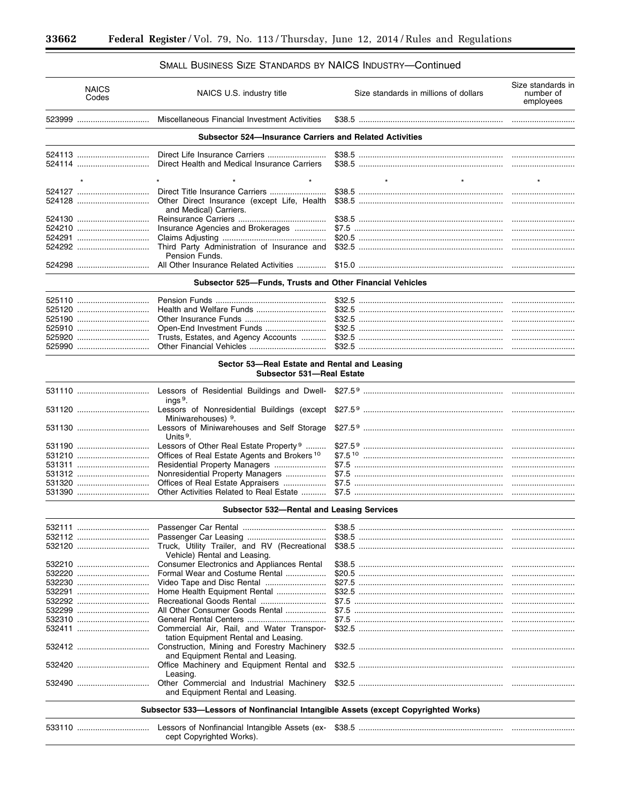$\equiv$ 

÷.

# SMALL BUSINESS SIZE STANDARDS BY NAICS INDUSTRY-Continued

| <b>NAICS</b><br>Codes | NAICS U.S. industry title                                                          | Size standards in millions of dollars | Size standards in<br>number of<br>employees |
|-----------------------|------------------------------------------------------------------------------------|---------------------------------------|---------------------------------------------|
|                       | Miscellaneous Financial Investment Activities                                      |                                       |                                             |
|                       | <b>Subsector 524-Insurance Carriers and Related Activities</b>                     |                                       |                                             |
| 524113                |                                                                                    |                                       |                                             |
|                       | Direct Health and Medical Insurance Carriers                                       |                                       |                                             |
|                       |                                                                                    |                                       |                                             |
|                       |                                                                                    |                                       |                                             |
| 524127                |                                                                                    |                                       |                                             |
|                       | Other Direct Insurance (except Life, Health                                        |                                       |                                             |
|                       | and Medical) Carriers.                                                             |                                       |                                             |
| 524130                |                                                                                    |                                       |                                             |
| 524210                | Insurance Agencies and Brokerages                                                  |                                       |                                             |
| 524291                |                                                                                    |                                       |                                             |
|                       | Third Party Administration of Insurance and                                        |                                       |                                             |
|                       | Pension Funds.                                                                     |                                       |                                             |
| 524298                | All Other Insurance Related Activities                                             |                                       |                                             |
|                       | Subsector 525-Funds, Trusts and Other Financial Vehicles                           |                                       |                                             |
| 525110                |                                                                                    |                                       |                                             |
|                       |                                                                                    |                                       |                                             |
| 525190                |                                                                                    |                                       |                                             |
| 525910                |                                                                                    |                                       |                                             |
| 525920                | Trusts, Estates, and Agency Accounts                                               |                                       |                                             |
| 525990                |                                                                                    |                                       |                                             |
|                       | Sector 53-Real Estate and Rental and Leasing<br>Subsector 531-Real Estate          |                                       |                                             |
|                       | ings <sup>9</sup> .                                                                |                                       |                                             |
|                       | Miniwarehouses) 9.                                                                 |                                       |                                             |
|                       | Lessors of Miniwarehouses and Self Storage<br>Units <sup>9</sup> .                 |                                       |                                             |
| 531190                | Lessors of Other Real Estate Property <sup>9</sup>                                 |                                       |                                             |
| 531210                | Offices of Real Estate Agents and Brokers 10                                       |                                       |                                             |
|                       | Residential Property Managers                                                      |                                       |                                             |
|                       | Nonresidential Property Managers                                                   |                                       |                                             |
| 531320                | Offices of Real Estate Appraisers                                                  |                                       |                                             |
| 531390                | Other Activities Related to Real Estate                                            |                                       |                                             |
|                       | <b>Subsector 532-Rental and Leasing Services</b>                                   |                                       |                                             |
|                       |                                                                                    |                                       |                                             |
|                       |                                                                                    |                                       |                                             |
| 532120                | Truck, Utility Trailer, and RV (Recreational                                       |                                       |                                             |
|                       | Vehicle) Rental and Leasing.                                                       |                                       |                                             |
|                       | Consumer Electronics and Appliances Rental                                         |                                       |                                             |
| 532220                | Formal Wear and Costume Rental                                                     |                                       |                                             |
|                       |                                                                                    |                                       |                                             |
| 532291                | Home Health Equipment Rental                                                       |                                       |                                             |
|                       |                                                                                    |                                       |                                             |
| 532299                | All Other Consumer Goods Rental                                                    |                                       |                                             |
| 532310                |                                                                                    |                                       |                                             |
| 532411                | Commercial Air, Rail, and Water Transpor-                                          |                                       |                                             |
|                       | tation Equipment Rental and Leasing.                                               |                                       |                                             |
| 532412                | Construction, Mining and Forestry Machinery                                        |                                       |                                             |
| 532420                | and Equipment Rental and Leasing.<br>Office Machinery and Equipment Rental and     |                                       |                                             |
|                       | Leasing.                                                                           |                                       |                                             |
| 532490                | Other Commercial and Industrial Machinery<br>and Equipment Rental and Leasing.     |                                       |                                             |
|                       | Subsector 533—Lessors of Nonfinancial Intangible Assets (except Copyrighted Works) |                                       |                                             |
|                       | cept Copyrighted Works).                                                           |                                       |                                             |
|                       |                                                                                    |                                       |                                             |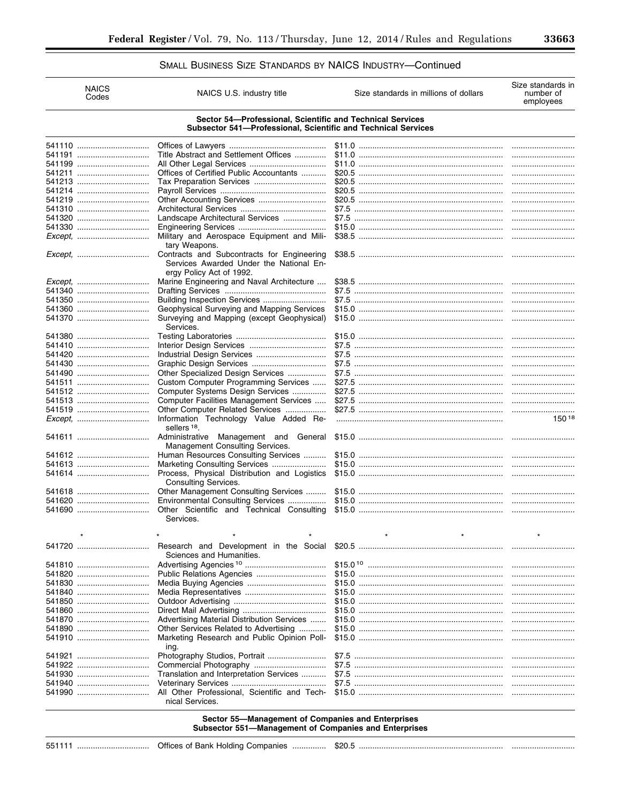٠

# SMALL BUSINESS SIZE STANDARDS BY NAICS INDUSTRY-Continued

| <b>NAICS</b><br>Codes | NAICS U.S. industry title                                                                                                  | Size standards in millions of dollars | Size standards in<br>number of<br>employees |  |  |  |  |
|-----------------------|----------------------------------------------------------------------------------------------------------------------------|---------------------------------------|---------------------------------------------|--|--|--|--|
|                       | Sector 54-Professional, Scientific and Technical Services<br>Subsector 541-Professional, Scientific and Technical Services |                                       |                                             |  |  |  |  |
| 541110                |                                                                                                                            |                                       |                                             |  |  |  |  |
|                       | Title Abstract and Settlement Offices                                                                                      |                                       |                                             |  |  |  |  |
| 541199                |                                                                                                                            |                                       |                                             |  |  |  |  |
|                       | Offices of Certified Public Accountants                                                                                    |                                       |                                             |  |  |  |  |
| 541213                |                                                                                                                            |                                       |                                             |  |  |  |  |
| 541214                |                                                                                                                            |                                       |                                             |  |  |  |  |
| 541219                |                                                                                                                            |                                       |                                             |  |  |  |  |
| 541310                |                                                                                                                            |                                       |                                             |  |  |  |  |
| 541320                | Landscape Architectural Services                                                                                           |                                       |                                             |  |  |  |  |
| 541330                |                                                                                                                            |                                       |                                             |  |  |  |  |
|                       | Military and Aerospace Equipment and Mili-<br>tary Weapons.                                                                |                                       |                                             |  |  |  |  |
|                       | Contracts and Subcontracts for Engineering<br>Services Awarded Under the National En-<br>ergy Policy Act of 1992.          |                                       |                                             |  |  |  |  |
|                       | Marine Engineering and Naval Architecture                                                                                  |                                       |                                             |  |  |  |  |
| 541340                |                                                                                                                            |                                       |                                             |  |  |  |  |
| 541350                |                                                                                                                            |                                       |                                             |  |  |  |  |
| 541360                | Geophysical Surveying and Mapping Services                                                                                 |                                       |                                             |  |  |  |  |
| 541370                | Surveying and Mapping (except Geophysical)<br>Services.                                                                    |                                       |                                             |  |  |  |  |
| 541380                |                                                                                                                            |                                       |                                             |  |  |  |  |
| 541410                |                                                                                                                            |                                       |                                             |  |  |  |  |
| 541420                |                                                                                                                            |                                       |                                             |  |  |  |  |
| 541430                |                                                                                                                            |                                       |                                             |  |  |  |  |
| 541490                | Other Specialized Design Services                                                                                          |                                       |                                             |  |  |  |  |
|                       | Custom Computer Programming Services                                                                                       |                                       |                                             |  |  |  |  |
| 541512                | Computer Systems Design Services                                                                                           |                                       |                                             |  |  |  |  |
| 541513                | Computer Facilities Management Services                                                                                    |                                       |                                             |  |  |  |  |
| 541519                | Other Computer Related Services                                                                                            |                                       |                                             |  |  |  |  |
|                       | Information Technology Value Added Re-<br>sellers <sup>18</sup> .                                                          |                                       | 150 18                                      |  |  |  |  |
| 541611                | Administrative Management and General<br>Management Consulting Services.                                                   |                                       |                                             |  |  |  |  |
| 541612                | Human Resources Consulting Services                                                                                        |                                       |                                             |  |  |  |  |
| 541613                | Marketing Consulting Services                                                                                              |                                       |                                             |  |  |  |  |
|                       | Process, Physical Distribution and Logistics<br><b>Consulting Services.</b>                                                |                                       |                                             |  |  |  |  |
| 541618                | Other Management Consulting Services                                                                                       |                                       |                                             |  |  |  |  |
| 541620                | Environmental Consulting Services                                                                                          |                                       |                                             |  |  |  |  |
| 541690                | Other Scientific and Technical Consulting                                                                                  |                                       |                                             |  |  |  |  |
|                       | Services.                                                                                                                  |                                       |                                             |  |  |  |  |
|                       |                                                                                                                            |                                       |                                             |  |  |  |  |
| 541720                | Sciences and Humanities.                                                                                                   |                                       |                                             |  |  |  |  |
| 541810                |                                                                                                                            |                                       |                                             |  |  |  |  |
| 541820<br>            | Public Relations Agencies                                                                                                  |                                       |                                             |  |  |  |  |
| 541830                |                                                                                                                            |                                       |                                             |  |  |  |  |
| 541840                |                                                                                                                            |                                       |                                             |  |  |  |  |
| 541850                |                                                                                                                            |                                       |                                             |  |  |  |  |
| 541860                |                                                                                                                            |                                       |                                             |  |  |  |  |
| 541870                | Advertising Material Distribution Services                                                                                 |                                       |                                             |  |  |  |  |
| 541890                | Other Services Related to Advertising                                                                                      |                                       |                                             |  |  |  |  |
| 541910                | Marketing Research and Public Opinion Poll-<br>ing.                                                                        |                                       |                                             |  |  |  |  |
| 541921                |                                                                                                                            |                                       |                                             |  |  |  |  |
| 541922                |                                                                                                                            |                                       |                                             |  |  |  |  |
| 541930                | Translation and Interpretation Services                                                                                    |                                       |                                             |  |  |  |  |
| 541940                |                                                                                                                            |                                       |                                             |  |  |  |  |
| 541990                | All Other Professional, Scientific and Tech-                                                                               |                                       |                                             |  |  |  |  |
|                       | nical Services.                                                                                                            |                                       |                                             |  |  |  |  |

Sector 55-Management of Companies and Enterprises<br>Subsector 551-Management of Companies and Enterprises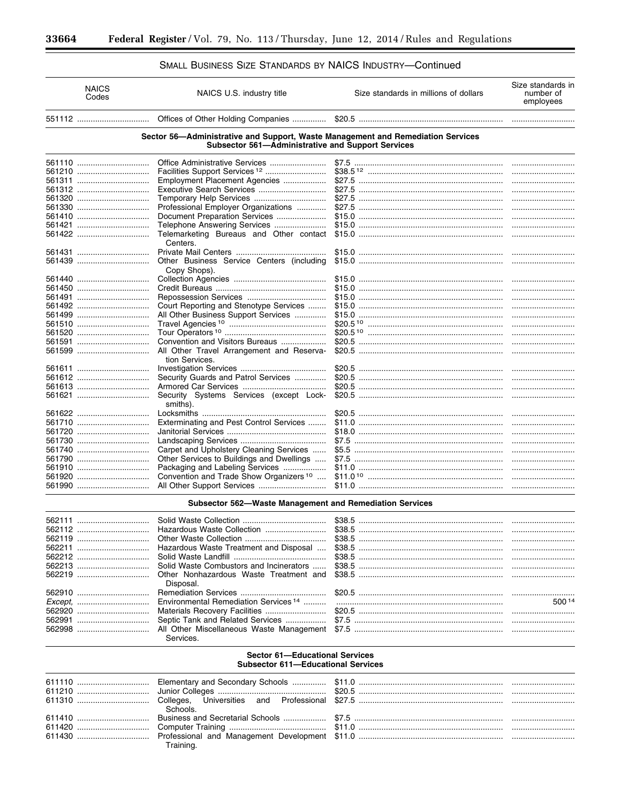۳

# SMALL BUSINESS SIZE STANDARDS BY NAICS INDUSTRY-Continued

| <b>NAICS</b><br>Codes | NAICS U.S. industry title                                                                                                            | Size standards in millions of dollars | Size standards in<br>number of<br>employees |
|-----------------------|--------------------------------------------------------------------------------------------------------------------------------------|---------------------------------------|---------------------------------------------|
|                       |                                                                                                                                      |                                       |                                             |
|                       | Sector 56-Administrative and Support, Waste Management and Remediation Services<br>Subsector 561-Administrative and Support Services |                                       |                                             |
|                       |                                                                                                                                      |                                       |                                             |
| 561210                |                                                                                                                                      |                                       |                                             |
|                       | Employment Placement Agencies                                                                                                        |                                       |                                             |
| 561312                |                                                                                                                                      |                                       |                                             |
| 561320                |                                                                                                                                      |                                       |                                             |
| 561330                | Professional Employer Organizations                                                                                                  |                                       |                                             |
| 561410                | Document Preparation Services                                                                                                        |                                       |                                             |
| 561421                | Telephone Answering Services                                                                                                         |                                       |                                             |
| 561422                | Telemarketing Bureaus and Other contact                                                                                              |                                       |                                             |
|                       | Centers.                                                                                                                             |                                       |                                             |
|                       |                                                                                                                                      |                                       |                                             |
| 561431                |                                                                                                                                      |                                       |                                             |
| 561439                | Other Business Service Centers (including<br>Copy Shops).                                                                            |                                       |                                             |
| 561440                |                                                                                                                                      |                                       |                                             |
| 561450                |                                                                                                                                      |                                       |                                             |
| 561491                |                                                                                                                                      |                                       |                                             |
| 561492                | Court Reporting and Stenotype Services                                                                                               |                                       |                                             |
| 561499                | All Other Business Support Services                                                                                                  |                                       |                                             |
| 561510                |                                                                                                                                      |                                       |                                             |
| 561520                |                                                                                                                                      |                                       |                                             |
| 561591                | Convention and Visitors Bureaus                                                                                                      |                                       |                                             |
| 561599                | All Other Travel Arrangement and Reserva-                                                                                            |                                       |                                             |
|                       | tion Services.                                                                                                                       |                                       |                                             |
|                       |                                                                                                                                      |                                       |                                             |
|                       | Security Guards and Patrol Services                                                                                                  |                                       |                                             |
|                       |                                                                                                                                      |                                       |                                             |
|                       | Security Systems Services (except Lock-<br>smiths).                                                                                  |                                       |                                             |
|                       |                                                                                                                                      |                                       |                                             |
|                       | Exterminating and Pest Control Services                                                                                              |                                       |                                             |
| 561720                |                                                                                                                                      |                                       |                                             |
| 561730                |                                                                                                                                      |                                       |                                             |
| 561740                | Carpet and Upholstery Cleaning Services                                                                                              |                                       |                                             |
|                       |                                                                                                                                      |                                       |                                             |
| 561790                | Other Services to Buildings and Dwellings                                                                                            |                                       |                                             |
| 561910                | Packaging and Labeling Services                                                                                                      |                                       |                                             |
| 561920                | Convention and Trade Show Organizers <sup>10</sup>                                                                                   |                                       |                                             |
| 561990                |                                                                                                                                      |                                       |                                             |

### Subsector 562-Waste Management and Remediation Services

|  | Disposal. |  |
|--|-----------|--|
|  |           |  |
|  |           |  |
|  |           |  |
|  |           |  |
|  |           |  |
|  | Services. |  |

### Sector 61-Educational Services **Subsector 611-Educational Services**

| Schools.  |  |
|-----------|--|
| Training. |  |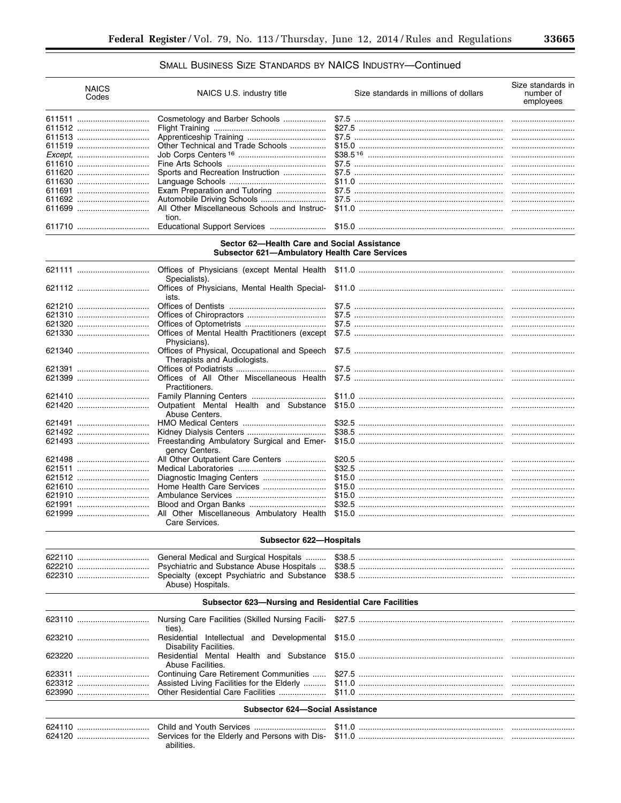$\equiv$ 

# SMALL BUSINESS SIZE STANDARDS BY NAICS INDUSTRY-Continued

|        | <b>NAICS</b><br>Codes | NAICS U.S. industry title                                                                    |        | Size standards in millions of dollars | Size standards in<br>number of<br>employees |
|--------|-----------------------|----------------------------------------------------------------------------------------------|--------|---------------------------------------|---------------------------------------------|
|        |                       | Cosmetology and Barber Schools                                                               |        |                                       |                                             |
|        |                       |                                                                                              |        |                                       |                                             |
|        |                       |                                                                                              |        |                                       |                                             |
|        |                       | Other Technical and Trade Schools                                                            |        |                                       |                                             |
|        |                       |                                                                                              |        |                                       |                                             |
|        |                       |                                                                                              |        |                                       |                                             |
|        | 611620                | Sports and Recreation Instruction                                                            |        |                                       |                                             |
|        | 611630                |                                                                                              |        |                                       |                                             |
|        |                       | Exam Preparation and Tutoring                                                                |        |                                       |                                             |
|        | 611692                |                                                                                              |        |                                       |                                             |
|        |                       | All Other Miscellaneous Schools and Instruc-<br>tion.                                        |        |                                       |                                             |
|        |                       | Educational Support Services                                                                 |        |                                       |                                             |
|        |                       | Sector 62-Health Care and Social Assistance<br>Subsector 621-Ambulatory Health Care Services |        |                                       |                                             |
|        |                       |                                                                                              |        |                                       |                                             |
|        |                       | Specialists).                                                                                |        |                                       |                                             |
|        |                       | Offices of Physicians, Mental Health Special-<br>ists.                                       |        |                                       |                                             |
|        |                       |                                                                                              |        |                                       |                                             |
|        | 621310                |                                                                                              |        |                                       |                                             |
|        | 621320                |                                                                                              |        |                                       |                                             |
|        | 621330                | Offices of Mental Health Practitioners (except<br>Physicians).                               |        |                                       |                                             |
|        | 621340                | Offices of Physical, Occupational and Speech<br>Therapists and Audiologists.                 |        |                                       |                                             |
|        | 621391                |                                                                                              |        |                                       |                                             |
|        | 621399                | Offices of All Other Miscellaneous Health<br>Practitioners.                                  |        |                                       |                                             |
|        | 621410                |                                                                                              |        |                                       |                                             |
|        | 621420                | Outpatient Mental Health and Substance<br>Abuse Centers.                                     |        |                                       |                                             |
|        | 621491                |                                                                                              |        |                                       |                                             |
|        | 621492                |                                                                                              |        |                                       |                                             |
|        | 621493                | Freestanding Ambulatory Surgical and Emer-<br>gency Centers.                                 |        |                                       |                                             |
| 621498 |                       | All Other Outpatient Care Centers                                                            | \$20.5 |                                       |                                             |
|        |                       |                                                                                              | \$32.5 |                                       |                                             |
|        |                       |                                                                                              |        |                                       |                                             |
|        |                       |                                                                                              |        |                                       |                                             |
|        | 621910                |                                                                                              |        |                                       |                                             |
|        |                       |                                                                                              |        |                                       |                                             |
|        |                       | All Other Miscellaneous Ambulatory Health<br>Care Services.                                  |        |                                       |                                             |
|        |                       | Subsector 622-Hospitals                                                                      |        |                                       |                                             |
|        | 622110                | General Medical and Surgical Hospitals                                                       |        |                                       |                                             |
|        |                       | Psychiatric and Substance Abuse Hospitals                                                    |        |                                       |                                             |
|        | 622310                | Specialty (except Psychiatric and Substance                                                  |        |                                       |                                             |
|        |                       | Abuse) Hospitals.                                                                            |        |                                       |                                             |
|        |                       | Subsector 623—Nursing and Residential Care Facilities                                        |        |                                       |                                             |
|        | 623110                | Nursing Care Facilities (Skilled Nursing Facili-<br>ties).                                   |        |                                       |                                             |
|        | 623210                | Disability Facilities.                                                                       |        |                                       |                                             |
|        |                       | Residential Mental Health and Substance<br>Abuse Facilities.                                 |        |                                       |                                             |
|        |                       | Continuing Care Retirement Communities                                                       |        |                                       |                                             |
|        |                       | Assisted Living Facilities for the Elderly                                                   |        |                                       |                                             |
|        | 623990                | Other Residential Care Facilities                                                            |        |                                       |                                             |
|        |                       | <b>Subsector 624–Social Assistance</b>                                                       |        |                                       |                                             |
|        |                       |                                                                                              |        |                                       |                                             |
|        | 624110<br>624120      | abilities.                                                                                   |        |                                       |                                             |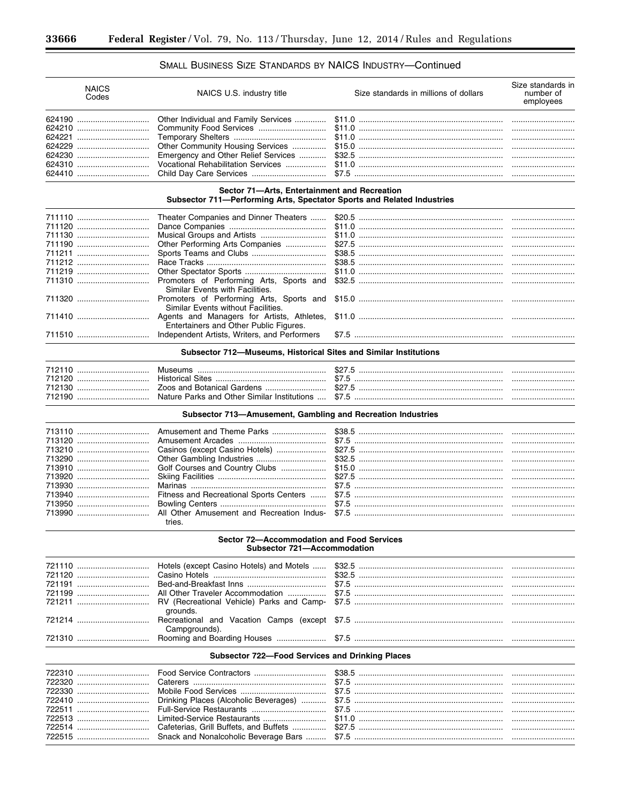# SMALL BUSINESS SIZE STANDARDS BY NAICS INDUSTRY-Continued

| <b>NAICS</b><br>Codes | NAICS U.S. industry title | Size standards in millions of dollars | Size standards in<br>number of<br>employees |
|-----------------------|---------------------------|---------------------------------------|---------------------------------------------|
|                       |                           |                                       |                                             |
|                       |                           |                                       |                                             |
|                       |                           |                                       |                                             |
|                       |                           |                                       |                                             |
|                       |                           |                                       |                                             |
|                       |                           |                                       |                                             |
|                       |                           |                                       |                                             |

### Sector 71-Arts, Entertainment and Recreation Subsector 711-Performing Arts, Spectator Sports and Related Industries

| Similar Events with Facilities.        |  |
|----------------------------------------|--|
| Similar Events without Facilities.     |  |
| Entertainers and Other Public Figures. |  |
|                                        |  |
|                                        |  |

### Subsector 712-Museums, Historical Sites and Similar Institutions

|        | Museum                                      |       |  |
|--------|---------------------------------------------|-------|--|
| 712120 | <b>Historical Sites</b>                     |       |  |
| 712130 | Zoos and Botanical Gardens                  | -92.  |  |
| 712100 | Nature Parks and Other Similar Institutions | \$7.5 |  |

#### Subsector 713-Amusement, Gambling and Recreation Industries

| tries. |  |
|--------|--|

### Sector 72-Accommodation and Food Services Subsector 721-Accommodation

| grounds.      |  |
|---------------|--|
| Campgrounds). |  |
|               |  |

#### Subsector 722-Food Services and Drinking Places

|--|--|--|--|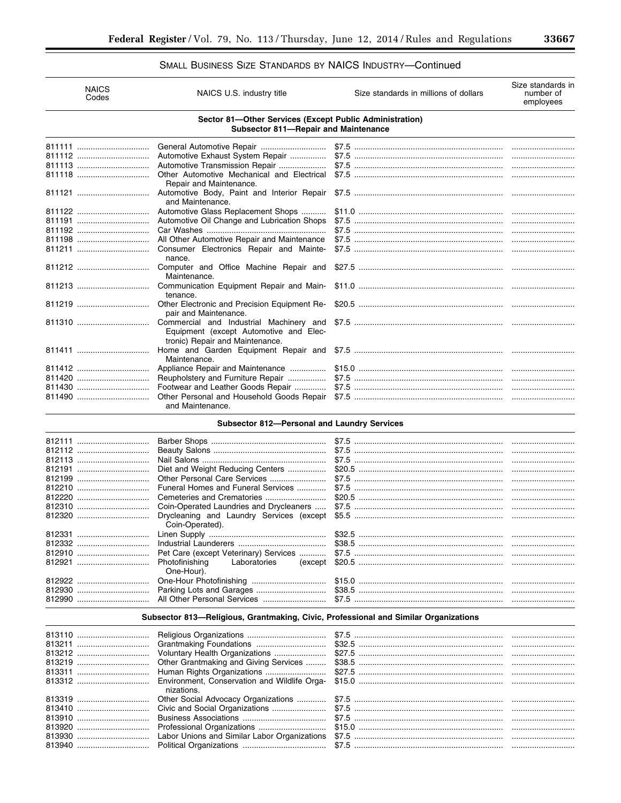# SMALL BUSINESS SIZE STANDARDS BY NAICS INDUSTRY-Continued

| <b>NAICS</b><br>Codes | NAICS U.S. industry title                                                                       | Size standards in millions of dollars | Size standards in<br>number of<br>employees |
|-----------------------|-------------------------------------------------------------------------------------------------|---------------------------------------|---------------------------------------------|
|                       | Sector 81-Other Services (Except Public Administration)<br>Subsector 811-Repair and Maintenance |                                       |                                             |
|                       |                                                                                                 |                                       |                                             |
|                       | Automotive Exhaust System Repair                                                                |                                       |                                             |
|                       | Automotive Transmission Repair                                                                  |                                       |                                             |
|                       | Other Automotive Mechanical and Electrical<br>Repair and Maintenance.                           |                                       |                                             |
|                       | Automotive Body, Paint and Interior Repair<br>and Maintenance.                                  |                                       |                                             |
|                       | Automotive Glass Replacement Shops                                                              |                                       |                                             |
|                       | Automotive Oil Change and Lubrication Shops                                                     |                                       |                                             |
|                       |                                                                                                 |                                       |                                             |
|                       | All Other Automotive Repair and Maintenance                                                     |                                       |                                             |
|                       | Consumer Electronics Repair and Mainte-<br>nance.                                               |                                       |                                             |
|                       | Computer and Office Machine Repair and<br>Maintenance.                                          |                                       |                                             |
|                       | tenance.                                                                                        |                                       |                                             |
|                       | pair and Maintenance.                                                                           |                                       |                                             |
|                       | Equipment (except Automotive and Elec-<br>tronic) Repair and Maintenance.                       |                                       |                                             |
|                       | Maintenance.                                                                                    |                                       |                                             |
|                       | Appliance Repair and Maintenance                                                                |                                       |                                             |
| 811420                | Reupholstery and Furniture Repair                                                               |                                       |                                             |
| 811430                | Footwear and Leather Goods Repair                                                               |                                       |                                             |
| 811490                | Other Personal and Household Goods Repair<br>and Maintenance.                                   |                                       |                                             |

# Subsector 812-Personal and Laundry Services

| Diet and Weight Reducing Centers        |  |
|-----------------------------------------|--|
|                                         |  |
| Funeral Homes and Funeral Services      |  |
|                                         |  |
| Coin-Operated Laundries and Drycleaners |  |
| Coin-Operated).                         |  |
|                                         |  |
|                                         |  |
| Pet Care (except Veterinary) Services   |  |
| One-Hour).                              |  |
|                                         |  |
|                                         |  |
|                                         |  |
|                                         |  |

# Subsector 813-Religious, Grantmaking, Civic, Professional and Similar Organizations

| nizations. |  |
|------------|--|
|            |  |
|            |  |
|            |  |
|            |  |
|            |  |
|            |  |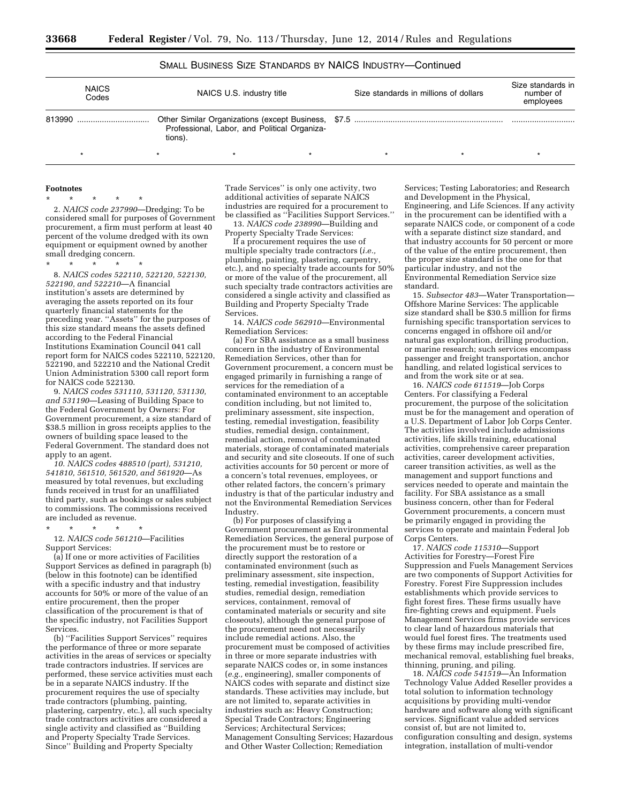# SMALL BUSINESS SIZE STANDARDS BY NAICS INDUSTRY—Continued

| <b>NAICS</b><br>Codes | NAICS U.S. industry title |  |                                              | Size standards in millions of dollars | Size standards in<br>number of<br>employees |         |
|-----------------------|---------------------------|--|----------------------------------------------|---------------------------------------|---------------------------------------------|---------|
| 813990                | tions).                   |  | Professional, Labor, and Political Organiza- |                                       |                                             |         |
|                       |                           |  |                                              |                                       |                                             | $\star$ |

#### **Footnotes**

\* \* \* \* \*

2. *NAICS code 237990*—Dredging: To be considered small for purposes of Government procurement, a firm must perform at least 40 percent of the volume dredged with its own equipment or equipment owned by another small dredging concern.

\* \* \* \* \*

8. *NAICS codes 522110, 522120, 522130, 522190, and 522210*—A financial institution's assets are determined by averaging the assets reported on its four quarterly financial statements for the preceding year. ''Assets'' for the purposes of this size standard means the assets defined according to the Federal Financial Institutions Examination Council 041 call report form for NAICS codes 522110, 522120, 522190, and 522210 and the National Credit Union Administration 5300 call report form for NAICS code 522130.

9. *NAICS codes 531110, 531120, 531130, and 531190*—Leasing of Building Space to the Federal Government by Owners: For Government procurement, a size standard of \$38.5 million in gross receipts applies to the owners of building space leased to the Federal Government. The standard does not apply to an agent.

*10. NAICS codes 488510 (part), 531210, 541810, 561510, 561520, and 561920*—As measured by total revenues, but excluding funds received in trust for an unaffiliated third party, such as bookings or sales subject to commissions. The commissions received are included as revenue.

# 12. *NAICS code 561210*—Facilities Support Services:

\* \* \* \* \*

(a) If one or more activities of Facilities Support Services as defined in paragraph (b) (below in this footnote) can be identified with a specific industry and that industry accounts for 50% or more of the value of an entire procurement, then the proper classification of the procurement is that of the specific industry, not Facilities Support Services.

(b) ''Facilities Support Services'' requires the performance of three or more separate activities in the areas of services or specialty trade contractors industries. If services are performed, these service activities must each be in a separate NAICS industry. If the procurement requires the use of specialty trade contractors (plumbing, painting, plastering, carpentry, etc.), all such specialty trade contractors activities are considered a single activity and classified as ''Building and Property Specialty Trade Services. Since" Building and Property Specialty

Trade Services'' is only one activity, two additional activities of separate NAICS industries are required for a procurement to be classified as ''Facilities Support Services.''

13. *NAICS code 238990*—Building and Property Specialty Trade Services:

If a procurement requires the use of multiple specialty trade contractors (*i.e.,*  plumbing, painting, plastering, carpentry, etc.), and no specialty trade accounts for 50% or more of the value of the procurement, all such specialty trade contractors activities are considered a single activity and classified as Building and Property Specialty Trade Services.

14. *NAICS code 562910*—Environmental Remediation Services:

(a) For SBA assistance as a small business concern in the industry of Environmental Remediation Services, other than for Government procurement, a concern must be engaged primarily in furnishing a range of services for the remediation of a contaminated environment to an acceptable condition including, but not limited to, preliminary assessment, site inspection, testing, remedial investigation, feasibility studies, remedial design, containment, remedial action, removal of contaminated materials, storage of contaminated materials and security and site closeouts. If one of such activities accounts for 50 percent or more of a concern's total revenues, employees, or other related factors, the concern's primary industry is that of the particular industry and not the Environmental Remediation Services Industry.

(b) For purposes of classifying a Government procurement as Environmental Remediation Services, the general purpose of the procurement must be to restore or directly support the restoration of a contaminated environment (such as preliminary assessment, site inspection, testing, remedial investigation, feasibility studies, remedial design, remediation services, containment, removal of contaminated materials or security and site closeouts), although the general purpose of the procurement need not necessarily include remedial actions. Also, the procurement must be composed of activities in three or more separate industries with separate NAICS codes or, in some instances (*e.g.,* engineering), smaller components of NAICS codes with separate and distinct size standards. These activities may include, but are not limited to, separate activities in industries such as: Heavy Construction; Special Trade Contractors; Engineering Services; Architectural Services; Management Consulting Services; Hazardous and Other Waster Collection; Remediation

Services; Testing Laboratories; and Research and Development in the Physical, Engineering, and Life Sciences. If any activity in the procurement can be identified with a separate NAICS code, or component of a code with a separate distinct size standard, and that industry accounts for 50 percent or more of the value of the entire procurement, then the proper size standard is the one for that particular industry, and not the Environmental Remediation Service size standard.

15. *Subsector 483*—Water Transportation— Offshore Marine Services: The applicable size standard shall be \$30.5 million for firms furnishing specific transportation services to concerns engaged in offshore oil and/or natural gas exploration, drilling production, or marine research; such services encompass passenger and freight transportation, anchor handling, and related logistical services to and from the work site or at sea.

16. *NAICS code 611519*—Job Corps Centers. For classifying a Federal procurement, the purpose of the solicitation must be for the management and operation of a U.S. Department of Labor Job Corps Center. The activities involved include admissions activities, life skills training, educational activities, comprehensive career preparation activities, career development activities, career transition activities, as well as the management and support functions and services needed to operate and maintain the facility. For SBA assistance as a small business concern, other than for Federal Government procurements, a concern must be primarily engaged in providing the services to operate and maintain Federal Job Corps Centers.

17. *NAICS code 115310*—Support Activities for Forestry—Forest Fire Suppression and Fuels Management Services are two components of Support Activities for Forestry. Forest Fire Suppression includes establishments which provide services to fight forest fires. These firms usually have fire-fighting crews and equipment. Fuels Management Services firms provide services to clear land of hazardous materials that would fuel forest fires. The treatments used by these firms may include prescribed fire, mechanical removal, establishing fuel breaks, thinning, pruning, and piling.

18. *NAICS code 541519*—An Information Technology Value Added Reseller provides a total solution to information technology acquisitions by providing multi-vendor hardware and software along with significant services. Significant value added services consist of, but are not limited to, configuration consulting and design, systems integration, installation of multi-vendor